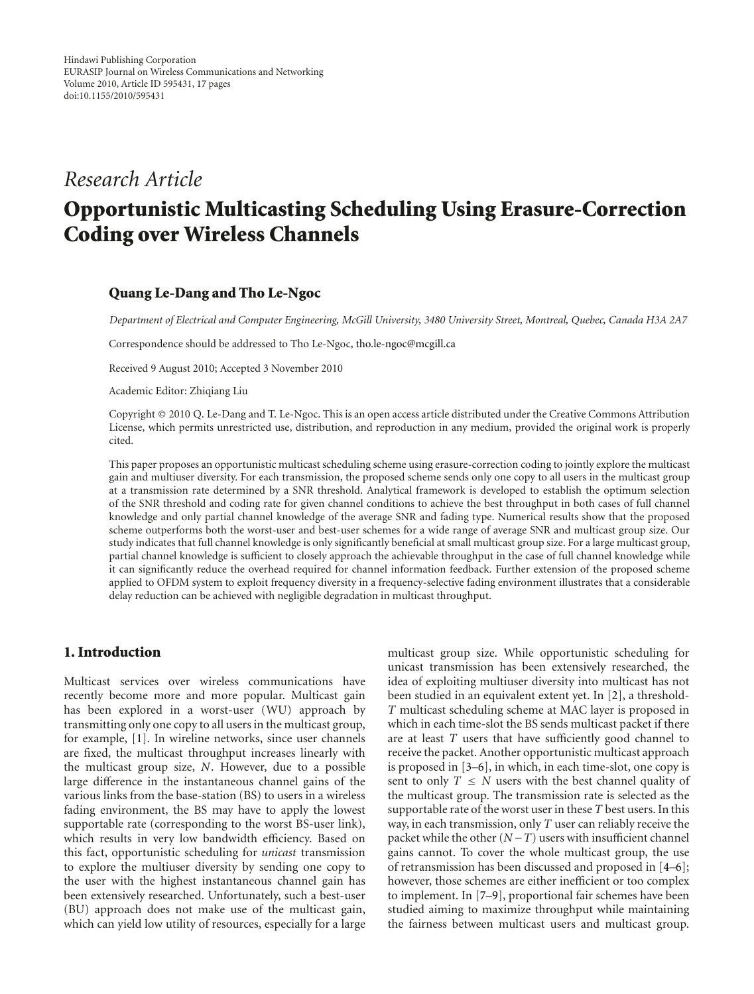# *Research Article*

# **Opportunistic Multicasting Scheduling Using Erasure-Correction Coding over Wireless Channels**

### **Quang Le-Dang and Tho Le-Ngoc**

*Department of Electrical and Computer Engineering, McGill University, 3480 University Street, Montreal, Quebec, Canada H3A 2A7*

Correspondence should be addressed to Tho Le-Ngoc, tho.le-ngoc@mcgill.ca

Received 9 August 2010; Accepted 3 November 2010

Academic Editor: Zhiqiang Liu

Copyright © 2010 Q. Le-Dang and T. Le-Ngoc. This is an open access article distributed under the Creative Commons Attribution License, which permits unrestricted use, distribution, and reproduction in any medium, provided the original work is properly cited.

This paper proposes an opportunistic multicast scheduling scheme using erasure-correction coding to jointly explore the multicast gain and multiuser diversity. For each transmission, the proposed scheme sends only one copy to all users in the multicast group at a transmission rate determined by a SNR threshold. Analytical framework is developed to establish the optimum selection of the SNR threshold and coding rate for given channel conditions to achieve the best throughput in both cases of full channel knowledge and only partial channel knowledge of the average SNR and fading type. Numerical results show that the proposed scheme outperforms both the worst-user and best-user schemes for a wide range of average SNR and multicast group size. Our study indicates that full channel knowledge is only significantly beneficial at small multicast group size. For a large multicast group, partial channel knowledge is sufficient to closely approach the achievable throughput in the case of full channel knowledge while it can significantly reduce the overhead required for channel information feedback. Further extension of the proposed scheme applied to OFDM system to exploit frequency diversity in a frequency-selective fading environment illustrates that a considerable delay reduction can be achieved with negligible degradation in multicast throughput.

#### **1. Introduction**

Multicast services over wireless communications have recently become more and more popular. Multicast gain has been explored in a worst-user (WU) approach by transmitting only one copy to all users in the multicast group, for example, [1]. In wireline networks, since user channels are fixed, the multicast throughput increases linearly with the multicast group size, *N*. However, due to a possible large difference in the instantaneous channel gains of the various links from the base-station (BS) to users in a wireless fading environment, the BS may have to apply the lowest supportable rate (corresponding to the worst BS-user link), which results in very low bandwidth efficiency. Based on this fact, opportunistic scheduling for *unicast* transmission to explore the multiuser diversity by sending one copy to the user with the highest instantaneous channel gain has been extensively researched. Unfortunately, such a best-user (BU) approach does not make use of the multicast gain, which can yield low utility of resources, especially for a large

multicast group size. While opportunistic scheduling for unicast transmission has been extensively researched, the idea of exploiting multiuser diversity into multicast has not been studied in an equivalent extent yet. In [2], a threshold-*T* multicast scheduling scheme at MAC layer is proposed in which in each time-slot the BS sends multicast packet if there are at least *T* users that have sufficiently good channel to receive the packet. Another opportunistic multicast approach is proposed in [3–6], in which, in each time-slot, one copy is sent to only  $T \leq N$  users with the best channel quality of the multicast group. The transmission rate is selected as the supportable rate of the worst user in these *T* best users. In this way, in each transmission, only *T* user can reliably receive the packet while the other (*N*−*T*) users with insufficient channel gains cannot. To cover the whole multicast group, the use of retransmission has been discussed and proposed in [4–6]; however, those schemes are either inefficient or too complex to implement. In [7–9], proportional fair schemes have been studied aiming to maximize throughput while maintaining the fairness between multicast users and multicast group.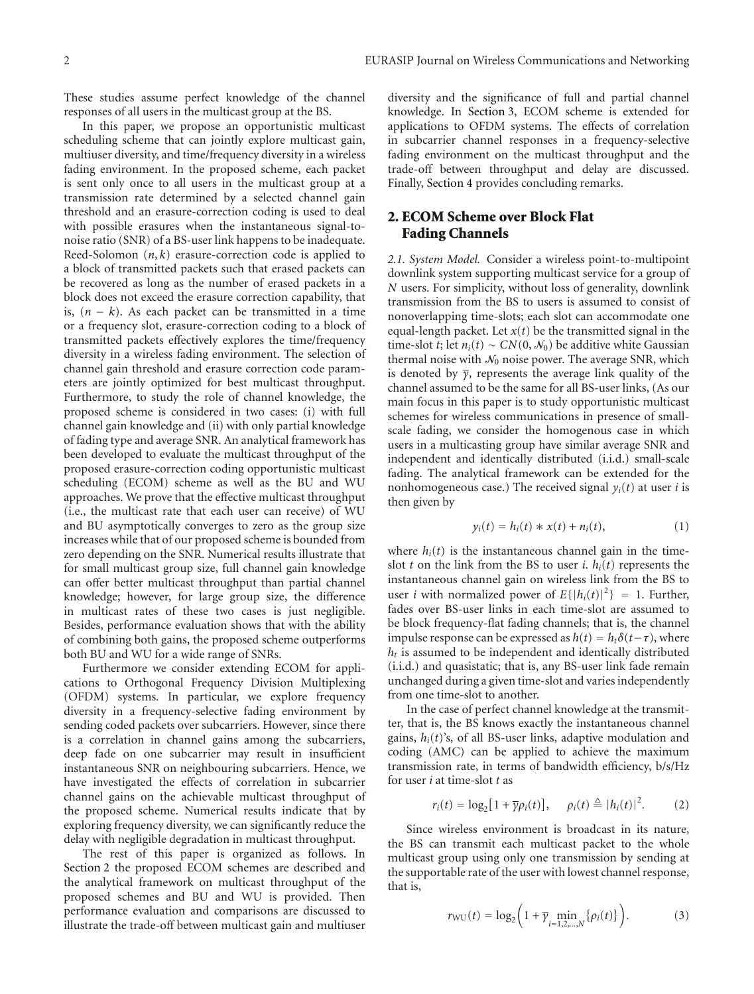These studies assume perfect knowledge of the channel responses of all users in the multicast group at the BS.

In this paper, we propose an opportunistic multicast scheduling scheme that can jointly explore multicast gain, multiuser diversity, and time/frequency diversity in a wireless fading environment. In the proposed scheme, each packet is sent only once to all users in the multicast group at a transmission rate determined by a selected channel gain threshold and an erasure-correction coding is used to deal with possible erasures when the instantaneous signal-tonoise ratio (SNR) of a BS-user link happens to be inadequate. Reed-Solomon  $(n, k)$  erasure-correction code is applied to a block of transmitted packets such that erased packets can be recovered as long as the number of erased packets in a block does not exceed the erasure correction capability, that is,  $(n - k)$ . As each packet can be transmitted in a time or a frequency slot, erasure-correction coding to a block of transmitted packets effectively explores the time/frequency diversity in a wireless fading environment. The selection of channel gain threshold and erasure correction code parameters are jointly optimized for best multicast throughput. Furthermore, to study the role of channel knowledge, the proposed scheme is considered in two cases: (i) with full channel gain knowledge and (ii) with only partial knowledge of fading type and average SNR. An analytical framework has been developed to evaluate the multicast throughput of the proposed erasure-correction coding opportunistic multicast scheduling (ECOM) scheme as well as the BU and WU approaches. We prove that the effective multicast throughput (i.e., the multicast rate that each user can receive) of WU and BU asymptotically converges to zero as the group size increases while that of our proposed scheme is bounded from zero depending on the SNR. Numerical results illustrate that for small multicast group size, full channel gain knowledge can offer better multicast throughput than partial channel knowledge; however, for large group size, the difference in multicast rates of these two cases is just negligible. Besides, performance evaluation shows that with the ability of combining both gains, the proposed scheme outperforms both BU and WU for a wide range of SNRs.

Furthermore we consider extending ECOM for applications to Orthogonal Frequency Division Multiplexing (OFDM) systems. In particular, we explore frequency diversity in a frequency-selective fading environment by sending coded packets over subcarriers. However, since there is a correlation in channel gains among the subcarriers, deep fade on one subcarrier may result in insufficient instantaneous SNR on neighbouring subcarriers. Hence, we have investigated the effects of correlation in subcarrier channel gains on the achievable multicast throughput of the proposed scheme. Numerical results indicate that by exploring frequency diversity, we can significantly reduce the delay with negligible degradation in multicast throughput.

The rest of this paper is organized as follows. In Section 2 the proposed ECOM schemes are described and the analytical framework on multicast throughput of the proposed schemes and BU and WU is provided. Then performance evaluation and comparisons are discussed to illustrate the trade-off between multicast gain and multiuser

diversity and the significance of full and partial channel knowledge. In Section 3, ECOM scheme is extended for applications to OFDM systems. The effects of correlation in subcarrier channel responses in a frequency-selective fading environment on the multicast throughput and the trade-off between throughput and delay are discussed. Finally, Section 4 provides concluding remarks.

# **2. ECOM Scheme over Block Flat Fading Channels**

*2.1. System Model.* Consider a wireless point-to-multipoint downlink system supporting multicast service for a group of *N* users. For simplicity, without loss of generality, downlink transmission from the BS to users is assumed to consist of nonoverlapping time-slots; each slot can accommodate one equal-length packet. Let  $x(t)$  be the transmitted signal in the time-slot *t*; let  $n_i(t) \sim CN(0, \mathcal{N}_0)$  be additive white Gaussian thermal noise with  $\mathcal{N}_0$  noise power. The average SNR, which is denoted by  $\bar{y}$ , represents the average link quality of the channel assumed to be the same for all BS-user links, (As our main focus in this paper is to study opportunistic multicast schemes for wireless communications in presence of smallscale fading, we consider the homogenous case in which users in a multicasting group have similar average SNR and independent and identically distributed (i.i.d.) small-scale fading. The analytical framework can be extended for the nonhomogeneous case.) The received signal  $y_i(t)$  at user *i* is then given by

$$
y_i(t) = h_i(t) * x(t) + n_i(t), \qquad (1)
$$

where  $h_i(t)$  is the instantaneous channel gain in the timeslot *t* on the link from the BS to user *i*.  $h_i(t)$  represents the instantaneous channel gain on wireless link from the BS to user *i* with normalized power of  $E\{|h_i(t)|^2\} = 1$ . Further, fades over BS-user links in each time-slot are assumed to be block frequency-flat fading channels; that is, the channel impulse response can be expressed as  $h(t) = h_t \delta(t-\tau)$ , where  $h_t$  is assumed to be independent and identically distributed (i.i.d.) and quasistatic; that is, any BS-user link fade remain unchanged during a given time-slot and varies independently from one time-slot to another.

In the case of perfect channel knowledge at the transmitter, that is, the BS knows exactly the instantaneous channel gains, *hi*(*t*)'s, of all BS-user links, adaptive modulation and coding (AMC) can be applied to achieve the maximum transmission rate, in terms of bandwidth efficiency, b/s/Hz for user *i* at time-slot *t* as

$$
r_i(t) = \log_2[1 + \overline{\gamma}\rho_i(t)], \quad \rho_i(t) \triangleq |h_i(t)|^2. \quad (2)
$$

Since wireless environment is broadcast in its nature, the BS can transmit each multicast packet to the whole multicast group using only one transmission by sending at the supportable rate of the user with lowest channel response, that is,

$$
r_{\rm WU}(t) = \log_2\left(1 + \overline{\gamma}\min_{i=1,2,\dots,N}\{\rho_i(t)\}\right). \tag{3}
$$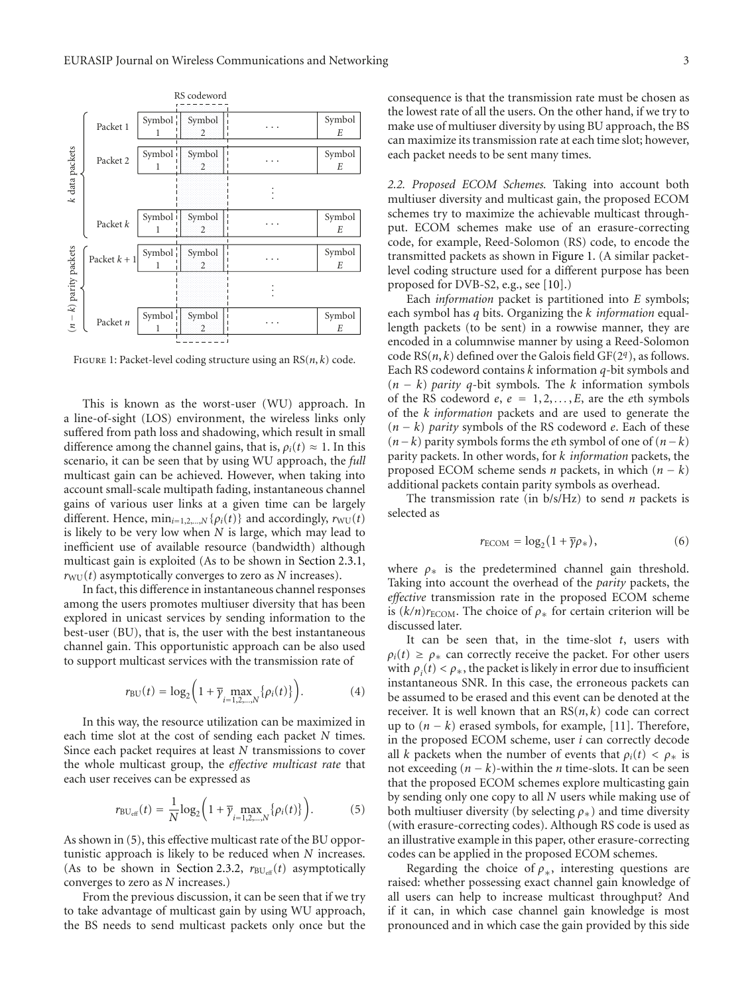

Figure 1: Packet-level coding structure using an RS(*n*, *k*) code.

This is known as the worst-user (WU) approach. In a line-of-sight (LOS) environment, the wireless links only suffered from path loss and shadowing, which result in small difference among the channel gains, that is,  $\rho_i(t) \approx 1$ . In this scenario, it can be seen that by using WU approach, the *full* multicast gain can be achieved. However, when taking into account small-scale multipath fading, instantaneous channel gains of various user links at a given time can be largely different. Hence,  $\min_{i=1,2,...,N} {\rho_i(t)}$  and accordingly,  $r_{\text{WU}}(t)$ is likely to be very low when *N* is large, which may lead to inefficient use of available resource (bandwidth) although multicast gain is exploited (As to be shown in Section 2.3.1,  $r_{\text{WU}}(t)$  asymptotically converges to zero as *N* increases).

In fact, this difference in instantaneous channel responses among the users promotes multiuser diversity that has been explored in unicast services by sending information to the best-user (BU), that is, the user with the best instantaneous channel gain. This opportunistic approach can be also used to support multicast services with the transmission rate of

$$
r_{\rm BU}(t) = \log_2\bigg(1 + \overline{\gamma} \max_{i=1,2,\ldots,N} \{\rho_i(t)\}\bigg). \tag{4}
$$

In this way, the resource utilization can be maximized in each time slot at the cost of sending each packet *N* times. Since each packet requires at least *N* transmissions to cover the whole multicast group, the *effective multicast rate* that each user receives can be expressed as

$$
r_{\text{BU}_{\text{eff}}}(t) = \frac{1}{N} \log_2 \left( 1 + \overline{\gamma} \max_{i=1,2,\dots,N} \{\rho_i(t)\} \right). \tag{5}
$$

As shown in (5), this effective multicast rate of the BU opportunistic approach is likely to be reduced when *N* increases. (As to be shown in Section 2.3.2,  $r_{\text{BU}_{\text{eff}}} (t)$  asymptotically converges to zero as *N* increases.)

From the previous discussion, it can be seen that if we try to take advantage of multicast gain by using WU approach, the BS needs to send multicast packets only once but the

consequence is that the transmission rate must be chosen as the lowest rate of all the users. On the other hand, if we try to make use of multiuser diversity by using BU approach, the BS can maximize its transmission rate at each time slot; however, each packet needs to be sent many times.

*2.2. Proposed ECOM Schemes.* Taking into account both multiuser diversity and multicast gain, the proposed ECOM schemes try to maximize the achievable multicast throughput. ECOM schemes make use of an erasure-correcting code, for example, Reed-Solomon (RS) code, to encode the transmitted packets as shown in Figure 1. (A similar packetlevel coding structure used for a different purpose has been proposed for DVB-S2, e.g., see [10].)

Each *information* packet is partitioned into *E* symbols; each symbol has *q* bits. Organizing the *k information* equallength packets (to be sent) in a rowwise manner, they are encoded in a columnwise manner by using a Reed-Solomon code RS(*n*, *k*) defined over the Galois field GF(2*<sup>q</sup>*), as follows. Each RS codeword contains *k* information *q*-bit symbols and (*n* − *k*) *parity q*-bit symbols. The *k* information symbols of the RS codeword  $e$ ,  $e = 1, 2, \ldots, E$ , are the *e*th symbols of the *k information* packets and are used to generate the (*n* − *k*) *parity* symbols of the RS codeword *e*. Each of these (*n*−*k*) parity symbols forms the *e*th symbol of one of (*n*−*k*) parity packets. In other words, for *k information* packets, the proposed ECOM scheme sends *n* packets, in which  $(n - k)$ additional packets contain parity symbols as overhead.

The transmission rate (in b/s/Hz) to send *n* packets is selected as

$$
r_{\text{ECOM}} = \log_2(1 + \overline{\gamma}\rho_*),\tag{6}
$$

where  $\rho_*$  is the predetermined channel gain threshold. Taking into account the overhead of the *parity* packets, the *effective* transmission rate in the proposed ECOM scheme is  $(k/n)r_{\text{ECOM}}$ . The choice of  $\rho_*$  for certain criterion will be discussed later.

It can be seen that, in the time-slot *t*, users with  $\rho_i(t) \geq \rho_*$  can correctly receive the packet. For other users with  $\rho_i(t) < \rho_*$ , the packet is likely in error due to insufficient instantaneous SNR. In this case, the erroneous packets can be assumed to be erased and this event can be denoted at the receiver. It is well known that an  $RS(n, k)$  code can correct up to  $(n - k)$  erased symbols, for example, [11]. Therefore, in the proposed ECOM scheme, user *i* can correctly decode all *k* packets when the number of events that  $\rho_i(t) < \rho_*$  is not exceeding  $(n - k)$ -within the *n* time-slots. It can be seen that the proposed ECOM schemes explore multicasting gain by sending only one copy to all *N* users while making use of both multiuser diversity (by selecting *ρ*∗) and time diversity (with erasure-correcting codes). Although RS code is used as an illustrative example in this paper, other erasure-correcting codes can be applied in the proposed ECOM schemes.

Regarding the choice of  $\rho_*$ , interesting questions are raised: whether possessing exact channel gain knowledge of all users can help to increase multicast throughput? And if it can, in which case channel gain knowledge is most pronounced and in which case the gain provided by this side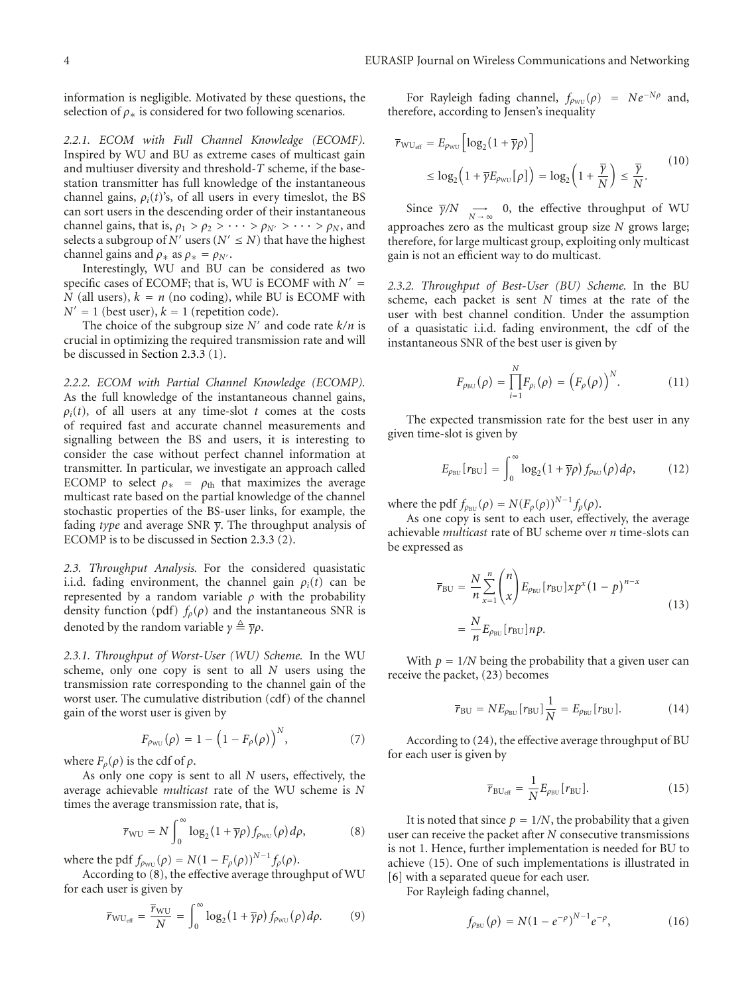information is negligible. Motivated by these questions, the selection of  $\rho_*$  is considered for two following scenarios.

*2.2.1. ECOM with Full Channel Knowledge (ECOMF).* Inspired by WU and BU as extreme cases of multicast gain and multiuser diversity and threshold-*T* scheme, if the basestation transmitter has full knowledge of the instantaneous channel gains,  $\rho_i(t)$ 's, of all users in every timeslot, the BS can sort users in the descending order of their instantaneous channel gains, that is,  $\rho_1 > \rho_2 > \cdots > \rho_N > \cdots > \rho_N$ , and selects a subgroup of *N'* users ( $N' \le N$ ) that have the highest channel gains and  $\rho_*$  as  $\rho_* = \rho_{N'}$ .

Interestingly, WU and BU can be considered as two specific cases of ECOMF; that is, WU is ECOMF with  $N' =$ *N* (all users),  $k = n$  (no coding), while BU is ECOMF with  $N' = 1$  (best user),  $k = 1$  (repetition code).

The choice of the subgroup size  $N'$  and code rate  $k/n$  is crucial in optimizing the required transmission rate and will be discussed in Section 2.3.3 (1).

*2.2.2. ECOM with Partial Channel Knowledge (ECOMP).* As the full knowledge of the instantaneous channel gains,  $\rho_i(t)$ , of all users at any time-slot *t* comes at the costs of required fast and accurate channel measurements and signalling between the BS and users, it is interesting to consider the case without perfect channel information at transmitter. In particular, we investigate an approach called ECOMP to select  $\rho_* = \rho_{\text{th}}$  that maximizes the average multicast rate based on the partial knowledge of the channel stochastic properties of the BS-user links, for example, the fading *type* and average SNR *γ*. The throughput analysis of ECOMP is to be discussed in Section 2.3.3 (2).

*2.3. Throughput Analysis.* For the considered quasistatic i.i.d. fading environment, the channel gain  $\rho_i(t)$  can be represented by a random variable *ρ* with the probability density function (pdf)  $f_{\rho}(\rho)$  and the instantaneous SNR is denoted by the random variable  $\gamma \triangleq \bar{\gamma}\rho$ .

*2.3.1. Throughput of Worst-User (WU) Scheme.* In the WU scheme, only one copy is sent to all *N* users using the transmission rate corresponding to the channel gain of the worst user. The cumulative distribution (cdf) of the channel gain of the worst user is given by

$$
F_{\rho_{\rm WU}}(\rho) = 1 - \left(1 - F_{\rho}(\rho)\right)^N, \tag{7}
$$

where  $F_{\rho}(\rho)$  is the cdf of  $\rho$ .

As only one copy is sent to all *N* users, effectively, the average achievable *multicast* rate of the WU scheme is *N* times the average transmission rate, that is,

$$
\overline{r}_{\text{WU}} = N \int_0^\infty \log_2 \left( 1 + \overline{\gamma} \rho \right) f_{\rho_{\text{WU}}}(\rho) d\rho, \tag{8}
$$

where the pdf  $f_{\rho wU}(\rho) = N(1 - F_{\rho}(\rho))^{N-1} f_{\rho}(\rho)$ .

 $\sim$ 

According to (8), the effective average throughput of WU for each user is given by

$$
\overline{r}_{\text{WU}_{\text{eff}}} = \frac{\overline{r}_{\text{WU}}}{N} = \int_0^\infty \log_2\left(1 + \overline{\gamma}\rho\right) f_{\rho_{\text{WU}}}(\rho) d\rho. \tag{9}
$$

For Rayleigh fading channel,  $f_{\rho_{\text{WU}}}(\rho) = Ne^{-N\rho}$  and, therefore, according to Jensen's inequality

$$
\overline{r}_{\text{WU}_{\text{eff}}} = E_{\rho_{\text{WU}}} \left[ \log_2 \left( 1 + \overline{\gamma} \rho \right) \right] \leq \log_2 \left( 1 + \overline{\gamma} E_{\rho_{\text{WU}}} \left[ \rho \right] \right) = \log_2 \left( 1 + \frac{\overline{\gamma}}{N} \right) \leq \frac{\overline{\gamma}}{N}.
$$
\n(10)

Since  $\overline{\gamma}/N$   $\longrightarrow$  0, the effective throughput of WU approaches zero as the multicast group size *N* grows large; therefore, for large multicast group, exploiting only multicast gain is not an efficient way to do multicast.

*2.3.2. Throughput of Best-User (BU) Scheme.* In the BU scheme, each packet is sent *N* times at the rate of the user with best channel condition. Under the assumption of a quasistatic i.i.d. fading environment, the cdf of the instantaneous SNR of the best user is given by

$$
F_{\rho_{BU}}(\rho) = \prod_{i=1}^{N} F_{\rho_i}(\rho) = (F_{\rho}(\rho))^N.
$$
 (11)

The expected transmission rate for the best user in any given time-slot is given by

$$
E_{\rho_{BU}}[r_{BU}] = \int_0^\infty \log_2\left(1 + \overline{\gamma}\rho\right) f_{\rho_{BU}}(\rho) d\rho, \tag{12}
$$

where the pdf  $f_{\rho_{BU}}(\rho) = N(F_{\rho}(\rho))^{N-1} f_{\rho}(\rho)$ .

As one copy is sent to each user, effectively, the average achievable *multicast* rate of BU scheme over *n* time-slots can be expressed as

$$
\overline{r}_{\text{BU}} = \frac{N}{n} \sum_{x=1}^{n} {n \choose x} E_{\rho_{\text{BU}}}[r_{\text{BU}}] x p^{x} (1-p)^{n-x}
$$
\n
$$
= \frac{N}{n} E_{\rho_{\text{BU}}}[r_{\text{BU}}] np. \tag{13}
$$

With  $p = 1/N$  being the probability that a given user can receive the packet, (23) becomes

$$
\overline{r}_{\text{BU}} = N E_{\rho_{\text{BU}}}[r_{\text{BU}}] \frac{1}{N} = E_{\rho_{\text{BU}}}[r_{\text{BU}}]. \tag{14}
$$

According to (24), the effective average throughput of BU for each user is given by

$$
\overline{r}_{\text{BU}_{\text{eff}}} = \frac{1}{N} E_{\rho_{\text{BU}}} [r_{\text{BU}}]. \tag{15}
$$

It is noted that since  $p = 1/N$ , the probability that a given user can receive the packet after *N* consecutive transmissions is not 1. Hence, further implementation is needed for BU to achieve (15). One of such implementations is illustrated in [6] with a separated queue for each user.

For Rayleigh fading channel,

$$
f_{\rho_{BU}}(\rho) = N(1 - e^{-\rho})^{N-1} e^{-\rho}, \qquad (16)
$$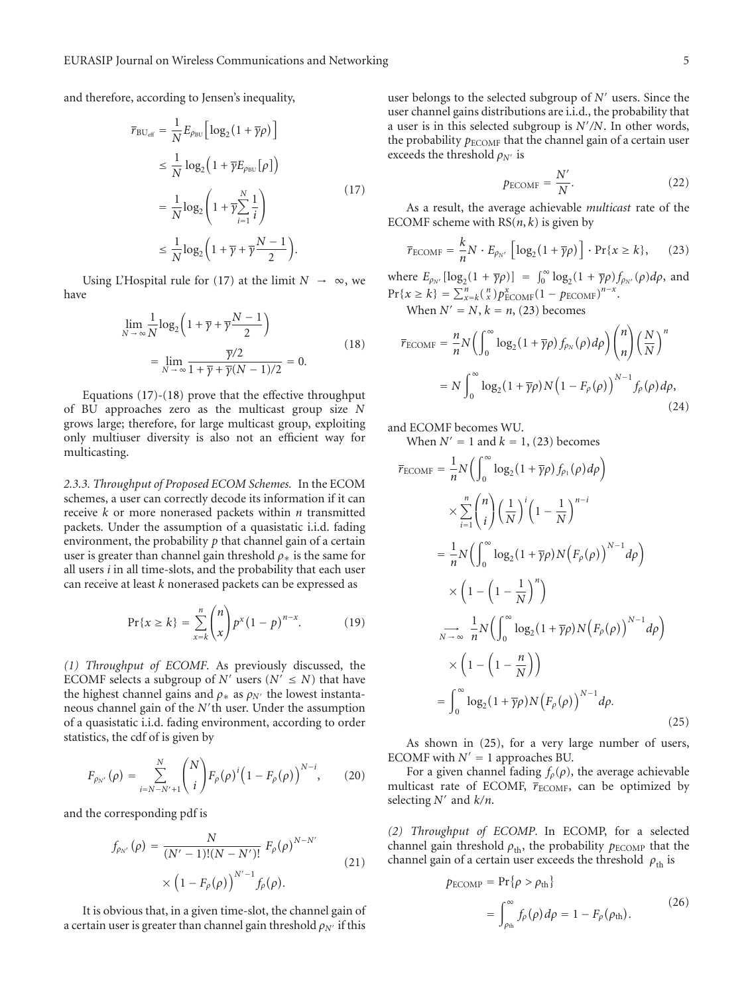and therefore, according to Jensen's inequality,

$$
\overline{r}_{\text{BU}_{\text{eff}}} = \frac{1}{N} E_{\rho_{\text{BU}}} \left[ \log_2 \left( 1 + \overline{\gamma} \rho \right) \right]
$$
  
\n
$$
\leq \frac{1}{N} \log_2 \left( 1 + \overline{\gamma} E_{\rho_{\text{BU}}} [\rho] \right)
$$
  
\n
$$
= \frac{1}{N} \log_2 \left( 1 + \overline{\gamma} \sum_{i=1}^N \frac{1}{i} \right)
$$
  
\n
$$
\leq \frac{1}{N} \log_2 \left( 1 + \overline{\gamma} + \overline{\gamma} \frac{N-1}{2} \right).
$$
\n(17)

Using L'Hospital rule for (17) at the limit  $N \rightarrow \infty$ , we have

$$
\lim_{N \to \infty} \frac{1}{N} \log_2 \left( 1 + \overline{\gamma} + \overline{\gamma} \frac{N-1}{2} \right)
$$
  
= 
$$
\lim_{N \to \infty} \frac{\overline{\gamma}/2}{1 + \overline{\gamma} + \overline{\gamma}(N-1)/2} = 0.
$$
 (18)

Equations (17)-(18) prove that the effective throughput of BU approaches zero as the multicast group size *N* grows large; therefore, for large multicast group, exploiting only multiuser diversity is also not an efficient way for multicasting.

*2.3.3. Throughput of Proposed ECOM Schemes.* In the ECOM schemes, a user can correctly decode its information if it can receive *k* or more nonerased packets within *n* transmitted packets. Under the assumption of a quasistatic i.i.d. fading environment, the probability *p* that channel gain of a certain user is greater than channel gain threshold *ρ*<sup>∗</sup> is the same for all users *i* in all time-slots, and the probability that each user can receive at least *k* nonerased packets can be expressed as

$$
\Pr\{x \ge k\} = \sum_{x=k}^{n} {n \choose x} p^x (1-p)^{n-x}.
$$
 (19)

*(1) Throughput of ECOMF.* As previously discussed, the ECOMF selects a subgroup of *N'* users  $(N' \leq N)$  that have the highest channel gains and  $\rho_*$  as  $\rho_{N'}$  the lowest instantaneous channel gain of the *N* th user. Under the assumption of a quasistatic i.i.d. fading environment, according to order statistics, the cdf of is given by

$$
F_{\rho_{N'}}(\rho) = \sum_{i=N-N'+1}^{N} {N \choose i} F_{\rho}(\rho)^{i} (1 - F_{\rho}(\rho))^{N-i}, \qquad (20)
$$

and the corresponding pdf is

$$
f_{\rho_{N'}}(\rho) = \frac{N}{(N'-1)!(N-N')!} F_{\rho}(\rho)^{N-N'} \times (1 - F_{\rho}(\rho))^{N'-1} f_{\rho}(\rho).
$$
 (21)

It is obvious that, in a given time-slot, the channel gain of a certain user is greater than channel gain threshold  $\rho_{N'}$  if this

user belongs to the selected subgroup of *N'* users. Since the user channel gains distributions are i.i.d., the probability that a user is in this selected subgroup is *N /N*. In other words, the probability  $p_{\text{ECOMF}}$  that the channel gain of a certain user exceeds the threshold  $\rho_{N'}$  is

$$
p_{\text{ECOMF}} = \frac{N'}{N}.\tag{22}
$$

 $\Delta$ 

As a result, the average achievable *multicast* rate of the ECOMF scheme with  $RS(n, k)$  is given by

$$
\overline{r}_{\text{ECOMF}} = \frac{k}{n} N \cdot E_{\rho_{N'}} \left[ \log_2 \left( 1 + \overline{\gamma} \rho \right) \right] \cdot \Pr \{ x \ge k \}, \tag{23}
$$

where  $E_{\rho_{N'}}\left[\log_2(1+\overline{\gamma}\rho)\right] = \int_0^\infty \log_2(1+\overline{\gamma}\rho)f_{\rho_{N'}}(\rho)d\rho$ , and  $Pr\{x \ge k\} = \sum_{x=k}^{n} {n \choose x} p_{ECOMF}^{x} (1 - p_{ECOMF})^{n-x}.$ 

When  $N' = N$ ,  $k = n$ , (23) becomes

$$
\overline{r}_{\text{ECOMF}} = \frac{n}{n} N \left( \int_0^\infty \log_2 \left( 1 + \overline{\gamma} \rho \right) f_{\rho_N}(\rho) d\rho \right) \binom{n}{n} \left( \frac{N}{N} \right)^n
$$

$$
= N \int_0^\infty \log_2 \left( 1 + \overline{\gamma} \rho \right) N \left( 1 - F_\rho(\rho) \right)^{N-1} f_\rho(\rho) d\rho,
$$
(24)

and ECOMF becomes WU.

When  $N' = 1$  and  $k = 1$ , (23) becomes

$$
\overline{r}_{\text{ECOMF}} = \frac{1}{n} N \left( \int_0^\infty \log_2(1 + \overline{\gamma}\rho) f_{\rho_1}(\rho) d\rho \right)
$$
  
\n
$$
\times \sum_{i=1}^n {n \choose i} \left( \frac{1}{N} \right)^i \left( 1 - \frac{1}{N} \right)^{n-i}
$$
  
\n
$$
= \frac{1}{n} N \left( \int_0^\infty \log_2(1 + \overline{\gamma}\rho) N \left( F_\rho(\rho) \right)^{N-1} d\rho \right)
$$
  
\n
$$
\times \left( 1 - \left( 1 - \frac{1}{N} \right)^n \right)
$$
  
\n
$$
\overline{r}_{\rho} \rightarrow \frac{1}{n} N \left( \int_0^\infty \log_2(1 + \overline{\gamma}\rho) N \left( F_\rho(\rho) \right)^{N-1} d\rho \right)
$$
  
\n
$$
\times \left( 1 - \left( 1 - \frac{n}{N} \right) \right)
$$
  
\n
$$
= \int_0^\infty \log_2(1 + \overline{\gamma}\rho) N \left( F_\rho(\rho) \right)^{N-1} d\rho.
$$
 (25)

As shown in (25), for a very large number of users, ECOMF with  $N' = 1$  approaches BU.

For a given channel fading  $f_{\rho}(\rho)$ , the average achievable multicast rate of ECOMF,  $\bar{r}_{\text{ECOMF}}$ , can be optimized by selecting  $N'$  and  $k/n$ .

*(2) Throughput of ECOMP.* In ECOMP, for a selected channel gain threshold  $\rho_{\text{th}}$ , the probability  $p_{\text{ECOMP}}$  that the channel gain of a certain user exceeds the threshold  $\rho_{th}$  is

$$
p_{\text{ECOMP}} = \Pr\{\rho > \rho_{\text{th}}\}\
$$

$$
= \int_{\rho_{\text{th}}}^{\infty} f_{\rho}(\rho) d\rho = 1 - F_{\rho}(\rho_{\text{th}}).
$$
(26)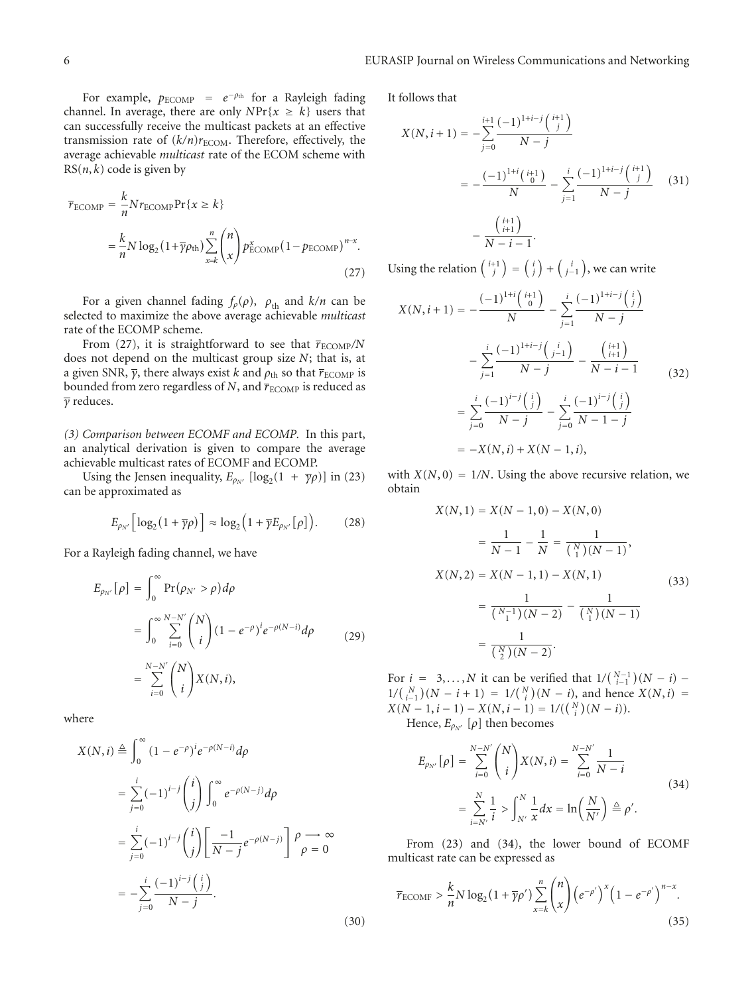For example,  $p_{\text{ECOMP}} = e^{-p_{\text{th}}}$  for a Rayleigh fading channel. In average, there are only  $NPr\{x \geq k\}$  users that can successfully receive the multicast packets at an effective transmission rate of  $(k/n)r_{\text{ECOM}}$ . Therefore, effectively, the average achievable *multicast* rate of the ECOM scheme with  $RS(n, k)$  code is given by

$$
\overline{r}_{\text{ECOMP}} = \frac{k}{n} N r_{\text{ECOMP}} Pr\{x \ge k\}
$$

$$
= \frac{k}{n} N \log_2 \left(1 + \overline{\gamma} \rho_{\text{th}}\right) \sum_{x=k}^n {n \choose x} p_{\text{ECOMP}}^x \left(1 - p_{\text{ECOMP}}\right)^{n-x} .
$$
(27)

For a given channel fading  $f_\rho(\rho)$ ,  $\rho_{\text{th}}$  and  $k/n$  can be selected to maximize the above average achievable *multicast* rate of the ECOMP scheme.

From (27), it is straightforward to see that  $\bar{r}_{\text{ECOMP}}/N$ does not depend on the multicast group size *N*; that is, at a given SNR,  $\bar{y}$ , there always exist *k* and  $\rho_{\text{th}}$  so that  $\bar{r}_{\text{ECOMP}}$  is bounded from zero regardless of  $N$ , and  $\overline{r}_{\text{ECOMP}}$  is reduced as *γ* reduces.

*(3) Comparison between ECOMF and ECOMP.* In this part, an analytical derivation is given to compare the average achievable multicast rates of ECOMF and ECOMP.

Using the Jensen inequality,  $E_{\rho_N}$  [log<sub>2</sub>(1 +  $\bar{\gamma}\rho$ )] in (23) can be approximated as

$$
E_{\rho_{N'}}\left[\log_2\left(1+\overline{\gamma}\rho\right)\right] \approx \log_2\left(1+\overline{\gamma}E_{\rho_{N'}}\left[\rho\right]\right). \tag{28}
$$

For a Rayleigh fading channel, we have

$$
E_{\rho_{N'}}[\rho] = \int_0^\infty \Pr(\rho_{N'} > \rho) d\rho
$$
  
= 
$$
\int_0^\infty \sum_{i=0}^{N-N'} {N \choose i} (1 - e^{-\rho})^i e^{-\rho(N-i)} d\rho
$$
  
= 
$$
\sum_{i=0}^{N-N'} {N \choose i} X(N, i),
$$
 (29)

where

$$
X(N, i) \triangleq \int_0^{\infty} (1 - e^{-\rho})^i e^{-\rho(N-i)} d\rho
$$
  
=  $\sum_{j=0}^i (-1)^{i-j} {i \choose j} \int_0^{\infty} e^{-\rho(N-j)} d\rho$   
=  $\sum_{j=0}^i (-1)^{i-j} {i \choose j} \left[ \frac{-1}{N-j} e^{-\rho(N-j)} \right] \rho \longrightarrow 0$   
=  $-\sum_{j=0}^i \frac{(-1)^{i-j} {i \choose j}}{N-j}.$ 

It follows that

$$
X(N, i + 1) = -\sum_{j=0}^{i+1} \frac{(-1)^{1+i-j} {i+1 \choose j}}{N-j}
$$
  
= 
$$
-\frac{(-1)^{1+i} {i+1 \choose 0}}{N} - \sum_{j=1}^{i} \frac{(-1)^{1+i-j} {i+1 \choose j}}{N-j}
$$
(31)  

$$
-\frac{{i+1 \choose i+1}}{N-i-1}.
$$

Using the relation  ${i+1 \choose j} = {i \choose j} + {i \choose j-1}$ , we can write

$$
X(N, i+1) = -\frac{(-1)^{1+i} {i \choose 0}}{N} - \sum_{j=1}^{i} \frac{(-1)^{1+i-j} {i \choose j}}{N-j}
$$

$$
- \sum_{j=1}^{i} \frac{(-1)^{1+i-j} {i \choose j-1}}{N-j} - \frac{{i \choose i+1}}{N-i-1}
$$

$$
= \sum_{j=0}^{i} \frac{(-1)^{i-j} {i \choose j}}{N-j} - \sum_{j=0}^{i} \frac{(-1)^{i-j} {i \choose j}}{N-1-j}
$$

$$
= -X(N, i) + X(N - 1, i),
$$

with  $X(N, 0) = 1/N$ . Using the above recursive relation, we obtain

$$
X(N, 1) = X(N - 1, 0) - X(N, 0)
$$
  
=  $\frac{1}{N - 1} - \frac{1}{N} = \frac{1}{\binom{N}{1}(N - 1)},$   

$$
X(N, 2) = X(N - 1, 1) - X(N, 1)
$$
  
=  $\frac{1}{\binom{N-1}{1}(N - 2)} - \frac{1}{\binom{N}{1}(N - 1)}$   
=  $\frac{1}{\binom{N}{2}(N - 2)}.$  (33)

For  $i = 3,..., N$  it can be verified that  $1/(N-1)(N - i) -1$  $1/(\binom{N}{i-1}(N-i+1)) = 1/(\binom{N}{i}(N-i))$ , and hence  $X(N, i) =$  $X(N-1, i-1) - X(N, i-1) = 1/((\binom{N}{i})(N-i)).$ 

Hence,  $E_{\rho_{N'}}$  [ $\rho$ ] then becomes

$$
E_{\rho_{N'}}[\rho] = \sum_{i=0}^{N-N'} \binom{N}{i} X(N,i) = \sum_{i=0}^{N-N'} \frac{1}{N-i}
$$
  
= 
$$
\sum_{i=N'}^{N} \frac{1}{i} > \int_{N'}^{N} \frac{1}{x} dx = \ln\left(\frac{N}{N'}\right) \triangleq \rho'.
$$
 (34)

From (23) and (34), the lower bound of ECOMF multicast rate can be expressed as

$$
\overline{r}_{\text{ECOMF}} > \frac{k}{n} N \log_2 \left( 1 + \overline{\gamma} \rho' \right) \sum_{x=k}^n {n \choose x} \left( e^{-\rho'} \right)^x \left( 1 - e^{-\rho'} \right)^{n-x} . \tag{35}
$$

$$
(30)
$$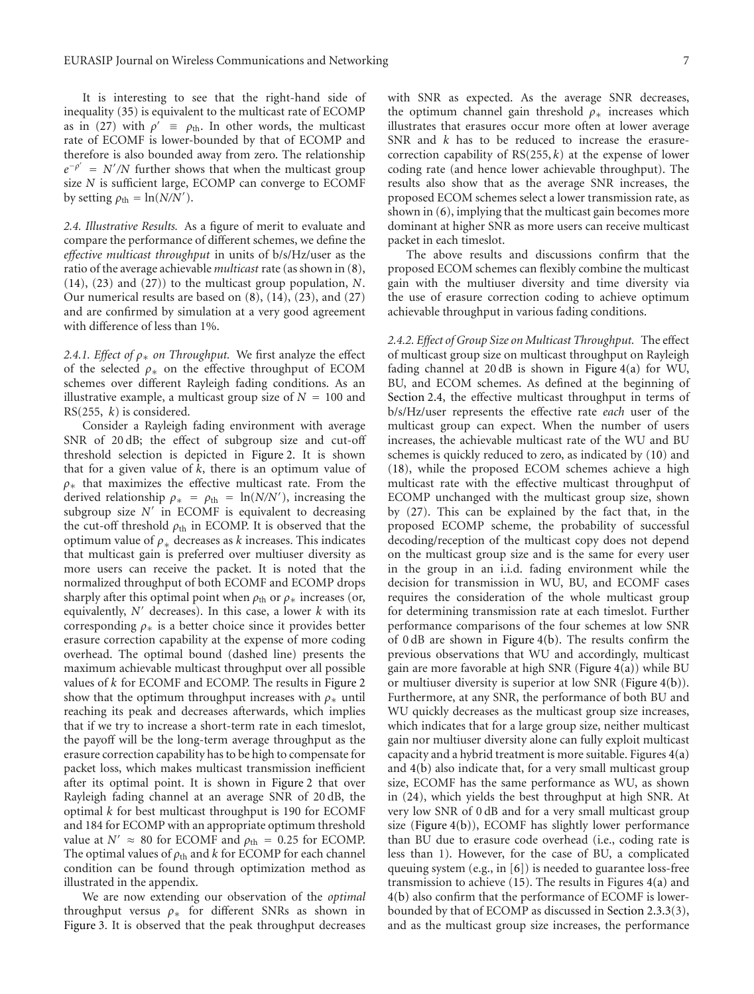It is interesting to see that the right-hand side of inequality (35) is equivalent to the multicast rate of ECOMP as in (27) with  $\rho' \equiv \rho_{th}$ . In other words, the multicast rate of ECOMF is lower-bounded by that of ECOMP and therefore is also bounded away from zero. The relationship  $e^{-\rho'} = N'/N$  further shows that when the multicast group size *N* is sufficient large, ECOMP can converge to ECOMF by setting  $\rho_{\text{th}} = \ln(N/N')$ .

*2.4. Illustrative Results.* As a figure of merit to evaluate and compare the performance of different schemes, we define the *effective multicast throughput* in units of b/s/Hz/user as the ratio of the average achievable *multicast* rate (as shown in (8), (14), (23) and (27)) to the multicast group population, *N*. Our numerical results are based on (8), (14), (23), and (27) and are confirmed by simulation at a very good agreement with difference of less than 1%.

*2.4.1. Effect of*  $\rho_*$  *on Throughput.* We first analyze the effect of the selected  $\rho_*$  on the effective throughput of ECOM schemes over different Rayleigh fading conditions. As an illustrative example, a multicast group size of  $N = 100$  and RS(255, *k*) is considered.

Consider a Rayleigh fading environment with average SNR of 20 dB; the effect of subgroup size and cut-off threshold selection is depicted in Figure 2. It is shown that for a given value of *k*, there is an optimum value of *ρ*<sup>∗</sup> that maximizes the effective multicast rate. From the derived relationship  $\rho_* = \rho_{\text{th}} = \ln(N/N')$ , increasing the subgroup size *N'* in ECOMF is equivalent to decreasing the cut-off threshold  $\rho_{th}$  in ECOMP. It is observed that the optimum value of  $\rho_{\star}$  decreases as *k* increases. This indicates that multicast gain is preferred over multiuser diversity as more users can receive the packet. It is noted that the normalized throughput of both ECOMF and ECOMP drops sharply after this optimal point when  $\rho_{\text{th}}$  or  $\rho_*$  increases (or, equivalently,  $N'$  decreases). In this case, a lower  $k$  with its corresponding  $\rho_*$  is a better choice since it provides better erasure correction capability at the expense of more coding overhead. The optimal bound (dashed line) presents the maximum achievable multicast throughput over all possible values of *k* for ECOMF and ECOMP. The results in Figure 2 show that the optimum throughput increases with  $\rho_*$  until reaching its peak and decreases afterwards, which implies that if we try to increase a short-term rate in each timeslot, the payoff will be the long-term average throughput as the erasure correction capability has to be high to compensate for packet loss, which makes multicast transmission inefficient after its optimal point. It is shown in Figure 2 that over Rayleigh fading channel at an average SNR of 20 dB, the optimal *k* for best multicast throughput is 190 for ECOMF and 184 for ECOMP with an appropriate optimum threshold value at  $N' \approx 80$  for ECOMF and  $\rho_{\text{th}} = 0.25$  for ECOMP. The optimal values of  $\rho_{\text{th}}$  and *k* for ECOMP for each channel condition can be found through optimization method as illustrated in the appendix.

We are now extending our observation of the *optimal* throughput versus *ρ*<sup>∗</sup> for different SNRs as shown in Figure 3. It is observed that the peak throughput decreases

with SNR as expected. As the average SNR decreases, the optimum channel gain threshold *ρ*<sup>∗</sup> increases which illustrates that erasures occur more often at lower average SNR and *k* has to be reduced to increase the erasurecorrection capability of RS(255, *k*) at the expense of lower coding rate (and hence lower achievable throughput). The results also show that as the average SNR increases, the proposed ECOM schemes select a lower transmission rate, as shown in (6), implying that the multicast gain becomes more dominant at higher SNR as more users can receive multicast packet in each timeslot.

The above results and discussions confirm that the proposed ECOM schemes can flexibly combine the multicast gain with the multiuser diversity and time diversity via the use of erasure correction coding to achieve optimum achievable throughput in various fading conditions.

*2.4.2. Effect of Group Size on Multicast Throughput.* The effect of multicast group size on multicast throughput on Rayleigh fading channel at 20 dB is shown in Figure 4(a) for WU, BU, and ECOM schemes. As defined at the beginning of Section 2.4, the effective multicast throughput in terms of b/s/Hz/user represents the effective rate *each* user of the multicast group can expect. When the number of users increases, the achievable multicast rate of the WU and BU schemes is quickly reduced to zero, as indicated by (10) and (18), while the proposed ECOM schemes achieve a high multicast rate with the effective multicast throughput of ECOMP unchanged with the multicast group size, shown by (27). This can be explained by the fact that, in the proposed ECOMP scheme, the probability of successful decoding/reception of the multicast copy does not depend on the multicast group size and is the same for every user in the group in an i.i.d. fading environment while the decision for transmission in WU, BU, and ECOMF cases requires the consideration of the whole multicast group for determining transmission rate at each timeslot. Further performance comparisons of the four schemes at low SNR of 0 dB are shown in Figure 4(b). The results confirm the previous observations that WU and accordingly, multicast gain are more favorable at high SNR (Figure 4(a)) while BU or multiuser diversity is superior at low SNR (Figure 4(b)). Furthermore, at any SNR, the performance of both BU and WU quickly decreases as the multicast group size increases, which indicates that for a large group size, neither multicast gain nor multiuser diversity alone can fully exploit multicast capacity and a hybrid treatment is more suitable. Figures 4(a) and 4(b) also indicate that, for a very small multicast group size, ECOMF has the same performance as WU, as shown in (24), which yields the best throughput at high SNR. At very low SNR of 0 dB and for a very small multicast group size (Figure 4(b)), ECOMF has slightly lower performance than BU due to erasure code overhead (i.e., coding rate is less than 1). However, for the case of BU, a complicated queuing system (e.g., in [6]) is needed to guarantee loss-free transmission to achieve (15). The results in Figures 4(a) and 4(b) also confirm that the performance of ECOMF is lowerbounded by that of ECOMP as discussed in Section 2.3.3(3), and as the multicast group size increases, the performance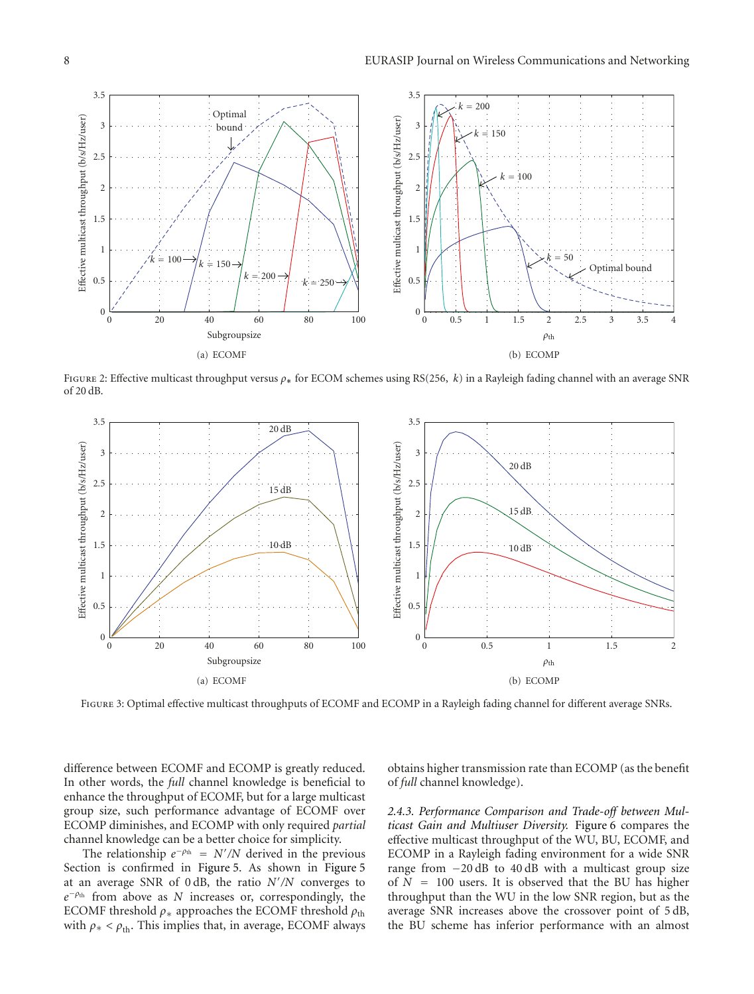

Figure 2: Effective multicast throughput versus *ρ<sup>∗</sup>* for ECOM schemes using RS(256, *k*) in a Rayleigh fading channel with an average SNR of 20 dB.



Figure 3: Optimal effective multicast throughputs of ECOMF and ECOMP in a Rayleigh fading channel for different average SNRs.

difference between ECOMF and ECOMP is greatly reduced. In other words, the *full* channel knowledge is beneficial to enhance the throughput of ECOMF, but for a large multicast group size, such performance advantage of ECOMF over ECOMP diminishes, and ECOMP with only required *partial* channel knowledge can be a better choice for simplicity.

The relationship  $e^{-\rho_{\text{th}}} = N'/N$  derived in the previous Section is confirmed in Figure 5. As shown in Figure 5 at an average SNR of 0 dB, the ratio *N /N* converges to *e*−*ρ*th from above as *N* increases or, correspondingly, the ECOMF threshold *ρ*<sup>∗</sup> approaches the ECOMF threshold *ρ*th with  $\rho_* < \rho_{\text{th}}$ . This implies that, in average, ECOMF always

obtains higher transmission rate than ECOMP (as the benefit of *full* channel knowledge).

*2.4.3. Performance Comparison and Trade-off between Multicast Gain and Multiuser Diversity.* Figure 6 compares the effective multicast throughput of the WU, BU, ECOMF, and ECOMP in a Rayleigh fading environment for a wide SNR range from −20 dB to 40 dB with a multicast group size of  $N = 100$  users. It is observed that the BU has higher throughput than the WU in the low SNR region, but as the average SNR increases above the crossover point of 5 dB, the BU scheme has inferior performance with an almost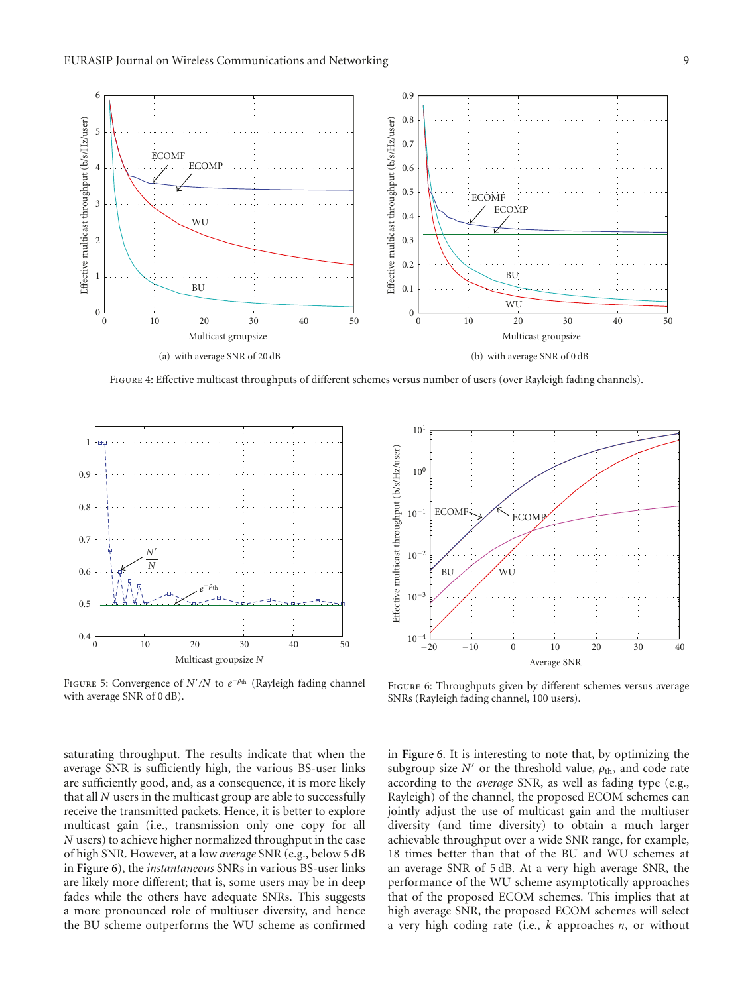

FIGURE 4: Effective multicast throughputs of different schemes versus number of users (over Rayleigh fading channels).



Figure 5: Convergence of *N /N* to *e*−*ρ*th (Rayleigh fading channel with average SNR of 0 dB).

saturating throughput. The results indicate that when the average SNR is sufficiently high, the various BS-user links are sufficiently good, and, as a consequence, it is more likely that all *N* users in the multicast group are able to successfully receive the transmitted packets. Hence, it is better to explore multicast gain (i.e., transmission only one copy for all *N* users) to achieve higher normalized throughput in the case of high SNR. However, at a low *average* SNR (e.g., below 5 dB in Figure 6), the *instantaneous* SNRs in various BS-user links are likely more different; that is, some users may be in deep fades while the others have adequate SNRs. This suggests a more pronounced role of multiuser diversity, and hence the BU scheme outperforms the WU scheme as confirmed



Figure 6: Throughputs given by different schemes versus average SNRs (Rayleigh fading channel, 100 users).

in Figure 6. It is interesting to note that, by optimizing the subgroup size  $N'$  or the threshold value,  $\rho_{th}$ , and code rate according to the *average* SNR, as well as fading type (e.g., Rayleigh) of the channel, the proposed ECOM schemes can jointly adjust the use of multicast gain and the multiuser diversity (and time diversity) to obtain a much larger achievable throughput over a wide SNR range, for example, 18 times better than that of the BU and WU schemes at an average SNR of 5 dB. At a very high average SNR, the performance of the WU scheme asymptotically approaches that of the proposed ECOM schemes. This implies that at high average SNR, the proposed ECOM schemes will select a very high coding rate (i.e., *k* approaches *n*, or without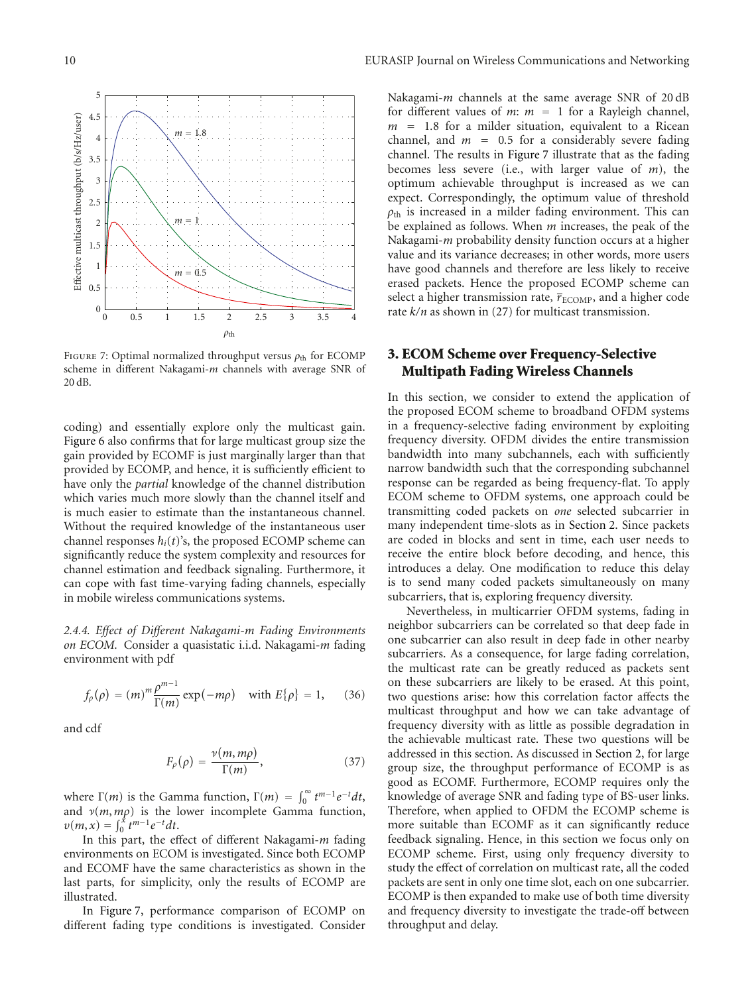

Figure 7: Optimal normalized throughput versus *ρ*th for ECOMP scheme in different Nakagami-*m* channels with average SNR of 20 dB.

coding) and essentially explore only the multicast gain. Figure 6 also confirms that for large multicast group size the gain provided by ECOMF is just marginally larger than that provided by ECOMP, and hence, it is sufficiently efficient to have only the *partial* knowledge of the channel distribution which varies much more slowly than the channel itself and is much easier to estimate than the instantaneous channel. Without the required knowledge of the instantaneous user channel responses  $h_i(t)$ 's, the proposed ECOMP scheme can significantly reduce the system complexity and resources for channel estimation and feedback signaling. Furthermore, it can cope with fast time-varying fading channels, especially in mobile wireless communications systems.

*2.4.4. Effect of Different Nakagami-m Fading Environments on ECOM.* Consider a quasistatic i.i.d. Nakagami-*m* fading environment with pdf

$$
f_{\rho}(\rho) = (m)^m \frac{\rho^{m-1}}{\Gamma(m)} \exp(-m\rho) \quad \text{with } E\{\rho\} = 1,
$$
 (36)

and cdf

$$
F_{\rho}(\rho) = \frac{\nu(m, m\rho)}{\Gamma(m)},\tag{37}
$$

where  $\Gamma(m)$  is the Gamma function,  $\Gamma(m) = \int_0^\infty t^{m-1} e^{-t} dt$ , and *ν*(*m*,*mρ*) is the lower incomplete Gamma function,  $v(m, x) = \int_0^x t^{m-1} e^{-t} dt.$ 

In this part, the effect of different Nakagami-*m* fading environments on ECOM is investigated. Since both ECOMP and ECOMF have the same characteristics as shown in the last parts, for simplicity, only the results of ECOMP are illustrated.

In Figure 7, performance comparison of ECOMP on different fading type conditions is investigated. Consider Nakagami-*m* channels at the same average SNR of 20 dB for different values of  $m: m = 1$  for a Rayleigh channel,  $m = 1.8$  for a milder situation, equivalent to a Ricean channel, and  $m = 0.5$  for a considerably severe fading channel. The results in Figure 7 illustrate that as the fading becomes less severe (i.e., with larger value of *m*), the optimum achievable throughput is increased as we can expect. Correspondingly, the optimum value of threshold *ρ*th is increased in a milder fading environment. This can be explained as follows. When *m* increases, the peak of the Nakagami-*m* probability density function occurs at a higher value and its variance decreases; in other words, more users have good channels and therefore are less likely to receive erased packets. Hence the proposed ECOMP scheme can select a higher transmission rate,  $\bar{r}_{\text{ECOMP}}$ , and a higher code rate  $k/n$  as shown in (27) for multicast transmission.

# **3. ECOM Scheme over Frequency-Selective Multipath Fading Wireless Channels**

In this section, we consider to extend the application of the proposed ECOM scheme to broadband OFDM systems in a frequency-selective fading environment by exploiting frequency diversity. OFDM divides the entire transmission bandwidth into many subchannels, each with sufficiently narrow bandwidth such that the corresponding subchannel response can be regarded as being frequency-flat. To apply ECOM scheme to OFDM systems, one approach could be transmitting coded packets on *one* selected subcarrier in many independent time-slots as in Section 2. Since packets are coded in blocks and sent in time, each user needs to receive the entire block before decoding, and hence, this introduces a delay. One modification to reduce this delay is to send many coded packets simultaneously on many subcarriers, that is, exploring frequency diversity.

Nevertheless, in multicarrier OFDM systems, fading in neighbor subcarriers can be correlated so that deep fade in one subcarrier can also result in deep fade in other nearby subcarriers. As a consequence, for large fading correlation, the multicast rate can be greatly reduced as packets sent on these subcarriers are likely to be erased. At this point, two questions arise: how this correlation factor affects the multicast throughput and how we can take advantage of frequency diversity with as little as possible degradation in the achievable multicast rate. These two questions will be addressed in this section. As discussed in Section 2, for large group size, the throughput performance of ECOMP is as good as ECOMF. Furthermore, ECOMP requires only the knowledge of average SNR and fading type of BS-user links. Therefore, when applied to OFDM the ECOMP scheme is more suitable than ECOMF as it can significantly reduce feedback signaling. Hence, in this section we focus only on ECOMP scheme. First, using only frequency diversity to study the effect of correlation on multicast rate, all the coded packets are sent in only one time slot, each on one subcarrier. ECOMP is then expanded to make use of both time diversity and frequency diversity to investigate the trade-off between throughput and delay.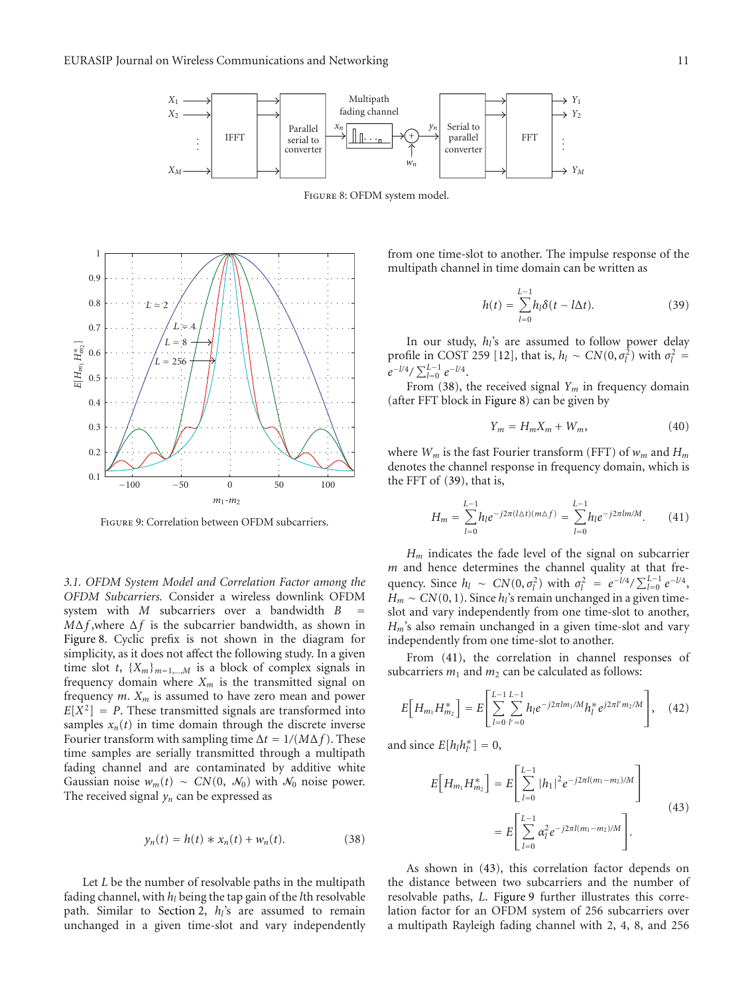

Figure 8: OFDM system model.



Figure 9: Correlation between OFDM subcarriers.

*3.1. OFDM System Model and Correlation Factor among the OFDM Subcarriers.* Consider a wireless downlink OFDM system with *M* subcarriers over a bandwidth *B M*Δ*f* ,where Δ*f* is the subcarrier bandwidth, as shown in Figure 8. Cyclic prefix is not shown in the diagram for simplicity, as it does not affect the following study. In a given time slot *t*,  ${X_m}_{m=1,...,M}$  is a block of complex signals in frequency domain where  $X_m$  is the transmitted signal on frequency  $m$ .  $X_m$  is assumed to have zero mean and power  $E[X^2] = P$ . These transmitted signals are transformed into samples  $x_n(t)$  in time domain through the discrete inverse Fourier transform with sampling time  $\Delta t = 1/(M\Delta f)$ . These time samples are serially transmitted through a multipath fading channel and are contaminated by additive white Gaussian noise  $w_m(t) \sim CN(0, \mathcal{N}_0)$  with  $\mathcal{N}_0$  noise power. The received signal  $y_n$  can be expressed as

$$
y_n(t) = h(t) * x_n(t) + w_n(t).
$$
 (38)

Let *L* be the number of resolvable paths in the multipath fading channel, with *hl* being the tap gain of the *l*th resolvable path. Similar to Section 2,  $h_i$ 's are assumed to remain unchanged in a given time-slot and vary independently from one time-slot to another. The impulse response of the multipath channel in time domain can be written as

$$
h(t) = \sum_{l=0}^{L-1} h_l \delta(t - l\Delta t).
$$
 (39)

In our study,  $h_i$ 's are assumed to follow power delay profile in COST 259 [12], that is,  $h_l \sim CN(0, \sigma_l^2)$  with  $\sigma_l^2 =$ *e*<sup>−*l*/4</sup>/ ∑<sup>*L*−1</sup> *e*<sup>−*l*/4</sup>.

From (38), the received signal *Ym* in frequency domain (after FFT block in Figure 8) can be given by

$$
Y_m = H_m X_m + W_m, \tag{40}
$$

where *Wm* is the fast Fourier transform (FFT) of *wm* and *Hm* denotes the channel response in frequency domain, which is the FFT of (39), that is,

$$
H_m = \sum_{l=0}^{L-1} h_l e^{-j2\pi (l\Delta t)(m\Delta f)} = \sum_{l=0}^{L-1} h_l e^{-j2\pi l m/M}.
$$
 (41)

*Hm* indicates the fade level of the signal on subcarrier *m* and hence determines the channel quality at that frequency. Since  $h_l \sim CN(0, \sigma_l^2)$  with  $\sigma_l^2 = e^{-l/4}/\sum_{l=0}^{L-1} e^{-l/4}$ ,  $H_m \sim CN(0, 1)$ . Since  $h_l$ 's remain unchanged in a given timeslot and vary independently from one time-slot to another, *Hm*'s also remain unchanged in a given time-slot and vary independently from one time-slot to another.

From (41), the correlation in channel responses of subcarriers  $m_1$  and  $m_2$  can be calculated as follows:

$$
E\Big[H_{m_1}H_{m_2}^*\Big] = E\Bigg[\sum_{l=0}^{L-1}\sum_{l'=0}^{L-1}h_le^{-j2\pi lm_1/M}h_l^*e^{j2\pi l'm_2/M}\Bigg], \quad (42)
$$

and since  $E[h_l h_{l'}^*] = 0$ ,

$$
E\Big[H_{m_1}H_{m_2}^*\Big] = E\Bigg[\sum_{l=0}^{L-1} |h_1|^2 e^{-j2\pi l(m_1 - m_2)/M}\Bigg]
$$
  
= 
$$
E\Bigg[\sum_{l=0}^{L-1} \alpha_l^2 e^{-j2\pi l(m_1 - m_2)/M}\Bigg].
$$
 (43)

As shown in (43), this correlation factor depends on the distance between two subcarriers and the number of resolvable paths, *L*. Figure 9 further illustrates this correlation factor for an OFDM system of 256 subcarriers over a multipath Rayleigh fading channel with 2, 4, 8, and 256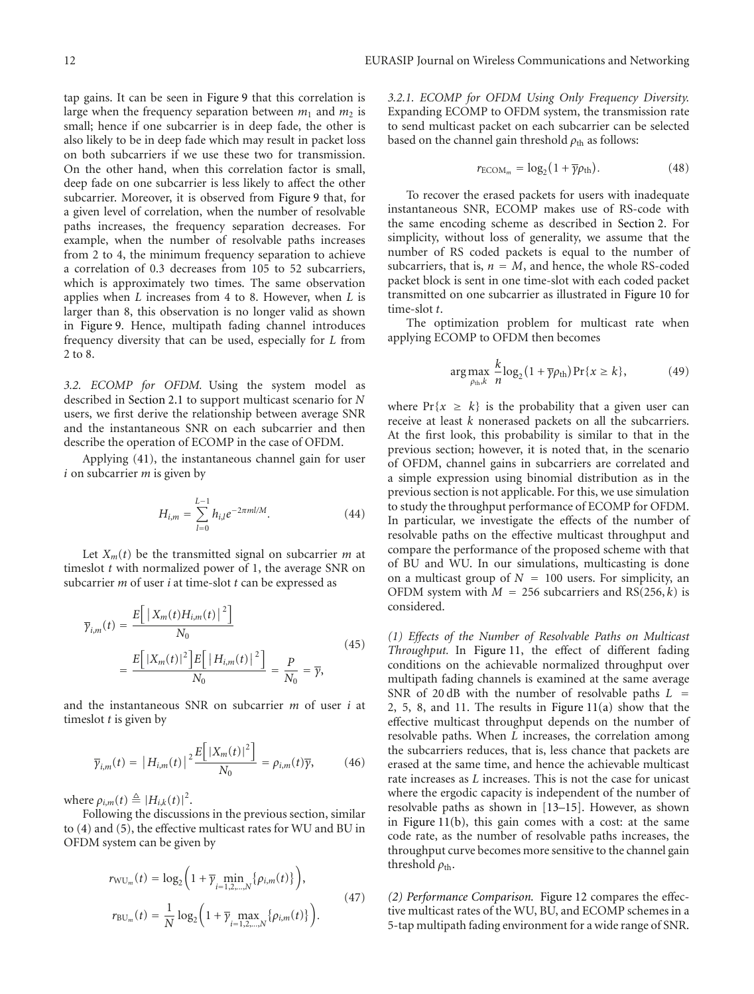tap gains. It can be seen in Figure 9 that this correlation is large when the frequency separation between  $m_1$  and  $m_2$  is small; hence if one subcarrier is in deep fade, the other is also likely to be in deep fade which may result in packet loss on both subcarriers if we use these two for transmission. On the other hand, when this correlation factor is small, deep fade on one subcarrier is less likely to affect the other subcarrier. Moreover, it is observed from Figure 9 that, for a given level of correlation, when the number of resolvable paths increases, the frequency separation decreases. For

example, when the number of resolvable paths increases from 2 to 4, the minimum frequency separation to achieve a correlation of 0.3 decreases from 105 to 52 subcarriers, which is approximately two times. The same observation applies when *L* increases from 4 to 8. However, when *L* is larger than 8, this observation is no longer valid as shown in Figure 9. Hence, multipath fading channel introduces frequency diversity that can be used, especially for *L* from 2 to 8.

*3.2. ECOMP for OFDM.* Using the system model as described in Section 2.1 to support multicast scenario for *N* users, we first derive the relationship between average SNR and the instantaneous SNR on each subcarrier and then describe the operation of ECOMP in the case of OFDM.

Applying (41), the instantaneous channel gain for user *i* on subcarrier *m* is given by

$$
H_{i,m} = \sum_{l=0}^{L-1} h_{i,l} e^{-2\pi m l/M}.
$$
 (44)

Let  $X_m(t)$  be the transmitted signal on subcarrier *m* at timeslot *t* with normalized power of 1, the average SNR on subcarrier *m* of user *i* at time-slot *t* can be expressed as

$$
\overline{\gamma}_{i,m}(t) = \frac{E\left[ \left| X_m(t) H_{i,m}(t) \right|^2 \right]}{N_0}
$$
\n
$$
= \frac{E\left[ \left| X_m(t) \right|^2 \right] E\left[ \left| H_{i,m}(t) \right|^2 \right]}{N_0} = \frac{P}{N_0} = \overline{\gamma},
$$
\n(45)

and the instantaneous SNR on subcarrier *m* of user *i* at timeslot *t* is given by

$$
\overline{\gamma}_{i,m}(t) = |H_{i,m}(t)|^2 \frac{E\left[|X_m(t)|^2\right]}{N_0} = \rho_{i,m}(t)\overline{\gamma},\tag{46}
$$

where  $\rho_{i,m}(t) \triangleq |H_{i,k}(t)|^2$ .

Following the discussions in the previous section, similar to (4) and (5), the effective multicast rates for WU and BU in OFDM system can be given by

$$
r_{\text{WU}_m}(t) = \log_2 \left( 1 + \overline{\gamma} \min_{i=1,2,\dots,N} \{ \rho_{i,m}(t) \} \right),
$$
  
\n
$$
r_{\text{BU}_m}(t) = \frac{1}{N} \log_2 \left( 1 + \overline{\gamma} \max_{i=1,2,\dots,N} \{ \rho_{i,m}(t) \} \right).
$$
\n(47)

*3.2.1. ECOMP for OFDM Using Only Frequency Diversity.* Expanding ECOMP to OFDM system, the transmission rate to send multicast packet on each subcarrier can be selected based on the channel gain threshold  $\rho_{th}$  as follows:

$$
r_{\text{ECOM}_m} = \log_2\left(1 + \overline{\gamma}\rho_{\text{th}}\right). \tag{48}
$$

To recover the erased packets for users with inadequate instantaneous SNR, ECOMP makes use of RS-code with the same encoding scheme as described in Section 2. For simplicity, without loss of generality, we assume that the number of RS coded packets is equal to the number of subcarriers, that is,  $n = M$ , and hence, the whole RS-coded packet block is sent in one time-slot with each coded packet transmitted on one subcarrier as illustrated in Figure 10 for time-slot *t*.

The optimization problem for multicast rate when applying ECOMP to OFDM then becomes

$$
\arg\max_{\rho_{\text{th}},k} \frac{k}{n} \log_2\left(1 + \overline{\gamma}\rho_{\text{th}}\right) \Pr\{x \ge k\},\tag{49}
$$

where  $Pr\{x \geq k\}$  is the probability that a given user can receive at least *k* nonerased packets on all the subcarriers. At the first look, this probability is similar to that in the previous section; however, it is noted that, in the scenario of OFDM, channel gains in subcarriers are correlated and a simple expression using binomial distribution as in the previous section is not applicable. For this, we use simulation to study the throughput performance of ECOMP for OFDM. In particular, we investigate the effects of the number of resolvable paths on the effective multicast throughput and compare the performance of the proposed scheme with that of BU and WU. In our simulations, multicasting is done on a multicast group of  $N = 100$  users. For simplicity, an OFDM system with  $M = 256$  subcarriers and RS(256, *k*) is considered.

*(1) Effects of the Number of Resolvable Paths on Multicast Throughput.* In Figure 11, the effect of different fading conditions on the achievable normalized throughput over multipath fading channels is examined at the same average SNR of 20 dB with the number of resolvable paths  $L =$ 2, 5, 8, and 11. The results in Figure 11(a) show that the effective multicast throughput depends on the number of resolvable paths. When *L* increases, the correlation among the subcarriers reduces, that is, less chance that packets are erased at the same time, and hence the achievable multicast rate increases as *L* increases. This is not the case for unicast where the ergodic capacity is independent of the number of resolvable paths as shown in [13–15]. However, as shown in Figure 11(b), this gain comes with a cost: at the same code rate, as the number of resolvable paths increases, the throughput curve becomes more sensitive to the channel gain threshold  $\rho_{\text{th}}$ .

*(2) Performance Comparison.* Figure 12 compares the effective multicast rates of the WU, BU, and ECOMP schemes in a 5-tap multipath fading environment for a wide range of SNR.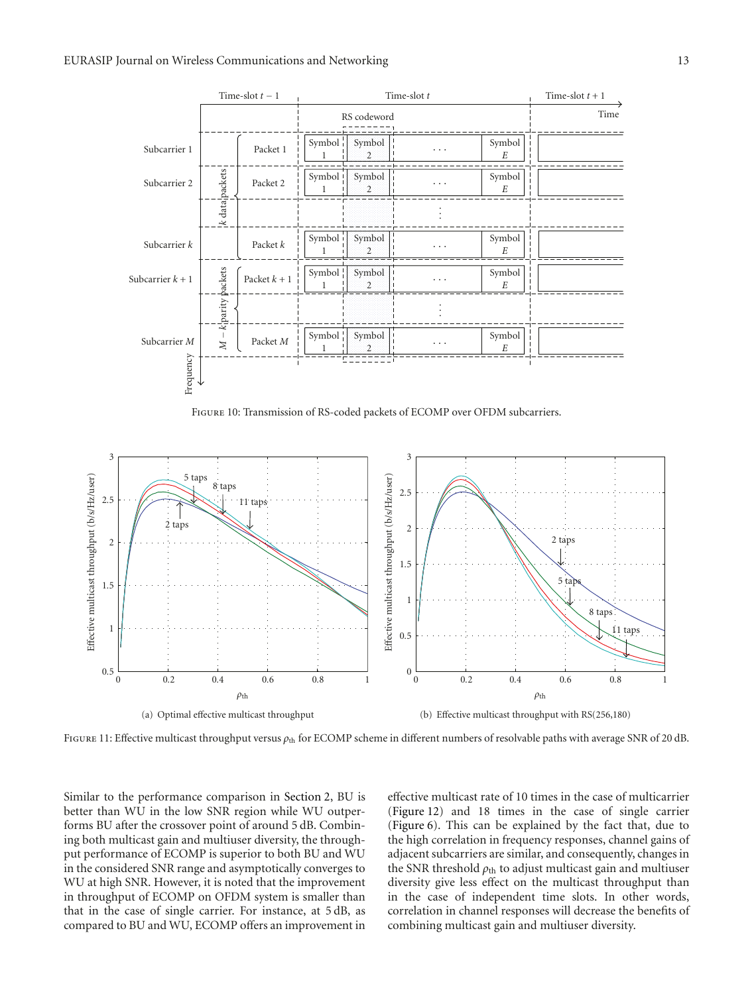

Figure 10: Transmission of RS-coded packets of ECOMP over OFDM subcarriers.



Figure 11: Effective multicast throughput versus *ρ*th for ECOMP scheme in different numbers of resolvable paths with average SNR of 20 dB.

Similar to the performance comparison in Section 2, BU is better than WU in the low SNR region while WU outperforms BU after the crossover point of around 5 dB. Combining both multicast gain and multiuser diversity, the throughput performance of ECOMP is superior to both BU and WU in the considered SNR range and asymptotically converges to WU at high SNR. However, it is noted that the improvement in throughput of ECOMP on OFDM system is smaller than that in the case of single carrier. For instance, at 5 dB, as compared to BU and WU, ECOMP offers an improvement in

effective multicast rate of 10 times in the case of multicarrier (Figure 12) and 18 times in the case of single carrier (Figure 6). This can be explained by the fact that, due to the high correlation in frequency responses, channel gains of adjacent subcarriers are similar, and consequently, changes in the SNR threshold  $\rho_{th}$  to adjust multicast gain and multiuser diversity give less effect on the multicast throughput than in the case of independent time slots. In other words, correlation in channel responses will decrease the benefits of combining multicast gain and multiuser diversity.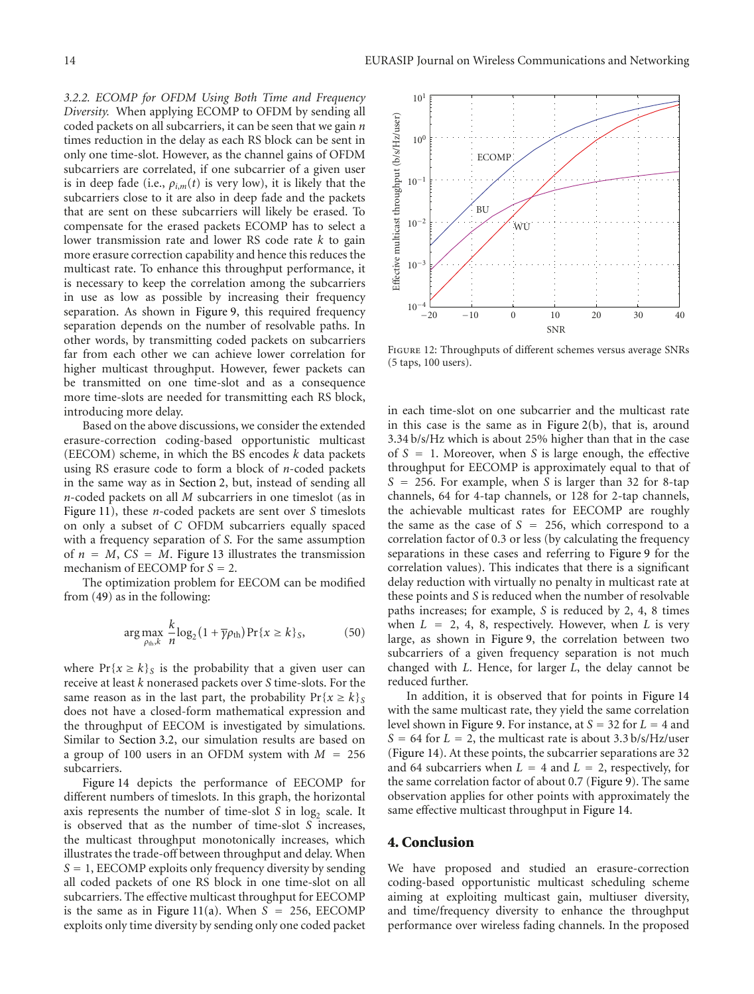*3.2.2. ECOMP for OFDM Using Both Time and Frequency Diversity.* When applying ECOMP to OFDM by sending all coded packets on all subcarriers, it can be seen that we gain *n* times reduction in the delay as each RS block can be sent in only one time-slot. However, as the channel gains of OFDM subcarriers are correlated, if one subcarrier of a given user is in deep fade (i.e.,  $\rho_{i,m}(t)$  is very low), it is likely that the subcarriers close to it are also in deep fade and the packets that are sent on these subcarriers will likely be erased. To compensate for the erased packets ECOMP has to select a lower transmission rate and lower RS code rate *k* to gain more erasure correction capability and hence this reduces the multicast rate. To enhance this throughput performance, it is necessary to keep the correlation among the subcarriers in use as low as possible by increasing their frequency separation. As shown in Figure 9, this required frequency separation depends on the number of resolvable paths. In other words, by transmitting coded packets on subcarriers far from each other we can achieve lower correlation for higher multicast throughput. However, fewer packets can be transmitted on one time-slot and as a consequence more time-slots are needed for transmitting each RS block, introducing more delay.

Based on the above discussions, we consider the extended erasure-correction coding-based opportunistic multicast (EECOM) scheme, in which the BS encodes *k* data packets using RS erasure code to form a block of *n*-coded packets in the same way as in Section 2, but, instead of sending all *n*-coded packets on all *M* subcarriers in one timeslot (as in Figure 11), these *n*-coded packets are sent over *S* timeslots on only a subset of *C* OFDM subcarriers equally spaced with a frequency separation of *S*. For the same assumption of  $n = M$ ,  $CS = M$ . Figure 13 illustrates the transmission mechanism of EECOMP for  $S = 2$ .

The optimization problem for EECOM can be modified from (49) as in the following:

$$
\arg\max_{\rho_{\text{th}},k} \frac{k}{n} \log_2\left(1 + \overline{\gamma}\rho_{\text{th}}\right) \Pr\{x \ge k\}_S,\tag{50}
$$

where  $Pr\{x \ge k\}$ s is the probability that a given user can receive at least *k* nonerased packets over *S* time-slots. For the same reason as in the last part, the probability  $Pr\{x \ge k\}$ does not have a closed-form mathematical expression and the throughput of EECOM is investigated by simulations. Similar to Section 3.2, our simulation results are based on a group of 100 users in an OFDM system with *M* = 256 subcarriers.

Figure 14 depicts the performance of EECOMP for different numbers of timeslots. In this graph, the horizontal axis represents the number of time-slot  $S$  in log<sub>2</sub> scale. It is observed that as the number of time-slot *S* increases, the multicast throughput monotonically increases, which illustrates the trade-off between throughput and delay. When *S* = 1, EECOMP exploits only frequency diversity by sending all coded packets of one RS block in one time-slot on all subcarriers. The effective multicast throughput for EECOMP is the same as in Figure 11(a). When  $S = 256$ , EECOMP exploits only time diversity by sending only one coded packet



Figure 12: Throughputs of different schemes versus average SNRs (5 taps, 100 users).

in each time-slot on one subcarrier and the multicast rate in this case is the same as in Figure 2(b), that is, around 3.34 b/s/Hz which is about 25% higher than that in the case of *S* = 1. Moreover, when *S* is large enough, the effective throughput for EECOMP is approximately equal to that of *S* = 256. For example, when *S* is larger than 32 for 8-tap channels, 64 for 4-tap channels, or 128 for 2-tap channels, the achievable multicast rates for EECOMP are roughly the same as the case of  $S = 256$ , which correspond to a correlation factor of 0.3 or less (by calculating the frequency separations in these cases and referring to Figure 9 for the correlation values). This indicates that there is a significant delay reduction with virtually no penalty in multicast rate at these points and *S* is reduced when the number of resolvable paths increases; for example, *S* is reduced by 2, 4, 8 times when  $L = 2, 4, 8$ , respectively. However, when  $L$  is very large, as shown in Figure 9, the correlation between two subcarriers of a given frequency separation is not much changed with *L*. Hence, for larger *L*, the delay cannot be reduced further.

In addition, it is observed that for points in Figure 14 with the same multicast rate, they yield the same correlation level shown in Figure 9. For instance, at *S* = 32 for *L* = 4 and  $S = 64$  for  $L = 2$ , the multicast rate is about 3.3 b/s/Hz/user (Figure 14). At these points, the subcarrier separations are 32 and 64 subcarriers when  $L = 4$  and  $L = 2$ , respectively, for the same correlation factor of about 0.7 (Figure 9). The same observation applies for other points with approximately the same effective multicast throughput in Figure 14.

### **4. Conclusion**

We have proposed and studied an erasure-correction coding-based opportunistic multicast scheduling scheme aiming at exploiting multicast gain, multiuser diversity, and time/frequency diversity to enhance the throughput performance over wireless fading channels. In the proposed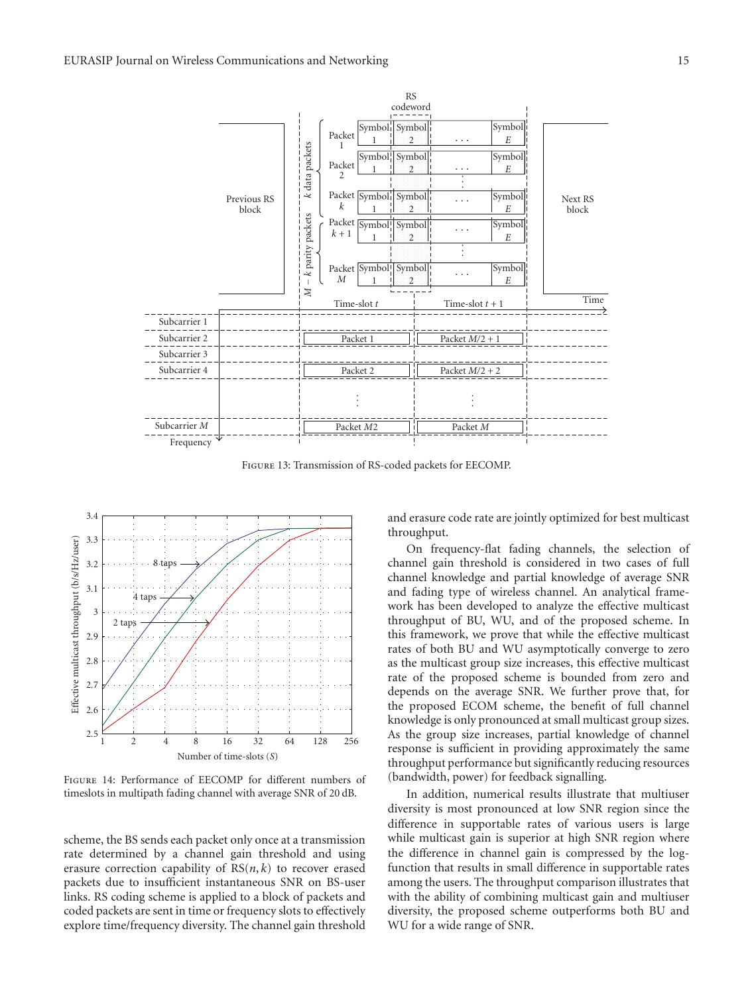

Figure 13: Transmission of RS-coded packets for EECOMP.



Figure 14: Performance of EECOMP for different numbers of timeslots in multipath fading channel with average SNR of 20 dB.

scheme, the BS sends each packet only once at a transmission rate determined by a channel gain threshold and using erasure correction capability of  $RS(n, k)$  to recover erased packets due to insufficient instantaneous SNR on BS-user links. RS coding scheme is applied to a block of packets and coded packets are sent in time or frequency slots to effectively explore time/frequency diversity. The channel gain threshold and erasure code rate are jointly optimized for best multicast throughput.

On frequency-flat fading channels, the selection of channel gain threshold is considered in two cases of full channel knowledge and partial knowledge of average SNR and fading type of wireless channel. An analytical framework has been developed to analyze the effective multicast throughput of BU, WU, and of the proposed scheme. In this framework, we prove that while the effective multicast rates of both BU and WU asymptotically converge to zero as the multicast group size increases, this effective multicast rate of the proposed scheme is bounded from zero and depends on the average SNR. We further prove that, for the proposed ECOM scheme, the benefit of full channel knowledge is only pronounced at small multicast group sizes. As the group size increases, partial knowledge of channel response is sufficient in providing approximately the same throughput performance but significantly reducing resources (bandwidth, power) for feedback signalling.

In addition, numerical results illustrate that multiuser diversity is most pronounced at low SNR region since the difference in supportable rates of various users is large while multicast gain is superior at high SNR region where the difference in channel gain is compressed by the logfunction that results in small difference in supportable rates among the users. The throughput comparison illustrates that with the ability of combining multicast gain and multiuser diversity, the proposed scheme outperforms both BU and WU for a wide range of SNR.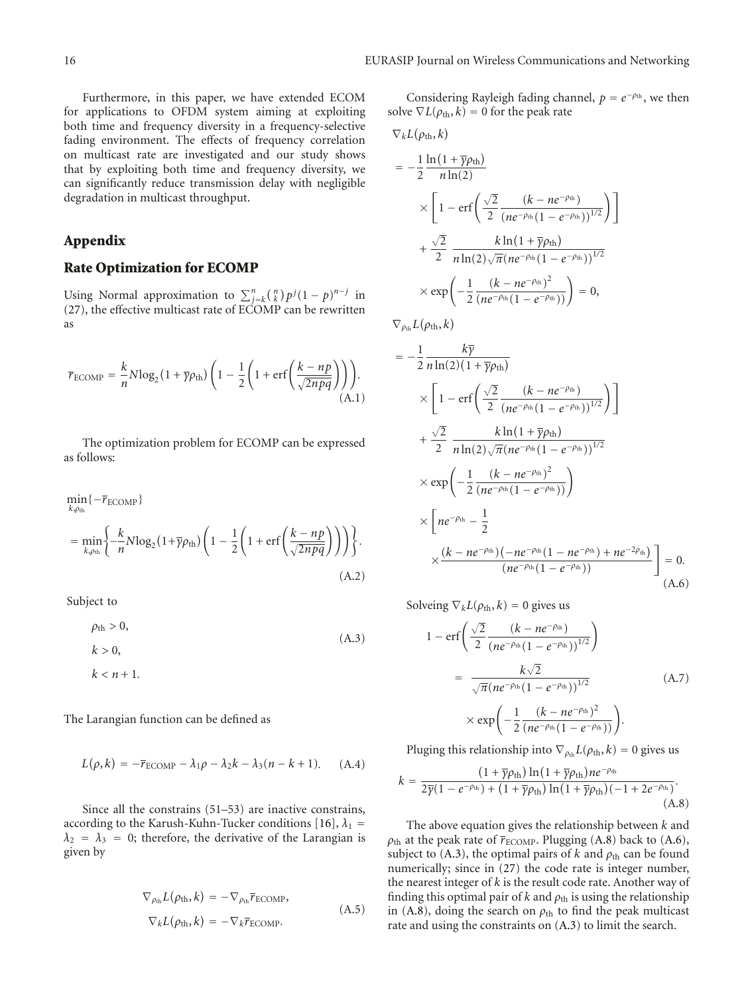Furthermore, in this paper, we have extended ECOM for applications to OFDM system aiming at exploiting both time and frequency diversity in a frequency-selective fading environment. The effects of frequency correlation on multicast rate are investigated and our study shows that by exploiting both time and frequency diversity, we can significantly reduce transmission delay with negligible degradation in multicast throughput.

# **Appendix**

# **Rate Optimization for ECOMP**

Using Normal approximation to  $\sum_{j=k}^{n} {n \choose k} p^{j} (1-p)^{n-j}$  in (27), the effective multicast rate of ECOMP can be rewritten as

$$
\overline{r}_{\text{ECOMP}} = \frac{k}{n} N \log_2 \left( 1 + \overline{\gamma} \rho_{\text{th}} \right) \left( 1 - \frac{1}{2} \left( 1 + \text{erf} \left( \frac{k - n \underline{p}}{\sqrt{2npq}} \right) \right) \right). \tag{A.1}
$$

The optimization problem for ECOMP can be expressed as follows:

$$
\min_{k,\rho_{\text{th}}} \left\{ -\overline{r}_{\text{ECOMP}} \right\}
$$
\n
$$
= \min_{k,\rho_{\text{th}}} \left\{ -\frac{k}{n} N \log_2 \left( 1 + \overline{\gamma} \rho_{\text{th}} \right) \left( 1 - \frac{1}{2} \left( 1 + \text{erf} \left( \frac{k - np}{\sqrt{2npq}} \right) \right) \right) \right\}.
$$
\n(A.2)

Subject to

$$
\rho_{\rm th} > 0, \tag{A.3}
$$

 $k > 0$ ,  $k < n + 1$ .

The Larangian function can be defined as

$$
L(\rho, k) = -\overline{r}_{\text{ECOMP}} - \lambda_1 \rho - \lambda_2 k - \lambda_3 (n - k + 1). \tag{A.4}
$$

Since all the constrains (51–53) are inactive constrains, according to the Karush-Kuhn-Tucker conditions [16],  $\lambda_1$  =  $\lambda_2$  =  $\lambda_3$  = 0; therefore, the derivative of the Larangian is given by

$$
\nabla_{\rho_{\text{th}}} L(\rho_{\text{th}}, k) = -\nabla_{\rho_{\text{th}}} \overline{r}_{\text{ECOMP}},
$$
\n
$$
\nabla_k L(\rho_{\text{th}}, k) = -\nabla_k \overline{r}_{\text{ECOMP}}.
$$
\n(A.5)

Considering Rayleigh fading channel,  $p = e^{-\rho_{\text{th}}}$ , we then solve  $\nabla L(\rho_{\text{th}}, k) = 0$  for the peak rate

$$
\nabla_{k}L(\rho_{th},k)
$$
\n
$$
= -\frac{1}{2}\frac{\ln(1+\overline{\gamma}\rho_{th})}{n\ln(2)}
$$
\n
$$
\times \left[1 - \text{erf}\left(\frac{\sqrt{2}}{2}\frac{(k - ne^{-\rho_{th}})}{(ne^{-\rho_{th}}(1 - e^{-\rho_{th}}))^{1/2}}\right)\right]
$$
\n
$$
+ \frac{\sqrt{2}}{2}\frac{k\ln(1+\overline{\gamma}\rho_{th})}{n\ln(2)\sqrt{\pi}(ne^{-\rho_{th}}(1 - e^{-\rho_{th}}))^{1/2}}
$$
\n
$$
\times \exp\left(-\frac{1}{2}\frac{(k - ne^{-\rho_{th}})^2}{(ne^{-\rho_{th}}(1 - e^{-\rho_{th}}))}\right) = 0,
$$
\n
$$
\nabla_{\rho_{th}}L(\rho_{th},k)
$$
\n
$$
= -\frac{1}{2}\frac{k\overline{\gamma}}{n\ln(2)(1+\overline{\gamma}\rho_{th})}
$$
\n
$$
\times \left[1 - \text{erf}\left(\frac{\sqrt{2}}{2}\frac{(k - ne^{-\rho_{th}})}{(ne^{-\rho_{th}}(1 - e^{-\rho_{th}}))^{1/2}}\right)\right]
$$
\n
$$
+ \frac{\sqrt{2}}{2}\frac{k\ln(1+\overline{\gamma}\rho_{th})}{n\ln(2)\sqrt{\pi}(ne^{-\rho_{th}}(1 - e^{-\rho_{th}}))^{1/2}}
$$
\n
$$
\times \exp\left(-\frac{1}{2}\frac{(k - ne^{-\rho_{th}})^2}{(ne^{-\rho_{th}}(1 - e^{-\rho_{th}}))}\right)
$$

$$
\times \left[ n e^{-\rho_{\text{th}}} - \frac{1}{2} \times \frac{(k - n e^{-\rho_{\text{th}}}) (-n e^{-\rho_{\text{th}}}(1 - n e^{-\rho_{\text{th}}}) + n e^{-2\rho_{\text{th}}})}{(n e^{-\rho_{\text{th}}}(1 - e^{-\rho_{\text{th}}}))} \right] = 0.
$$
\n(A.6)

Solveing  $\nabla_k L(\rho_{th}, k) = 0$  gives us

$$
1 - \text{erf}\left(\frac{\sqrt{2}}{2} \frac{(k - ne^{-\rho_{th}})}{(ne^{-\rho_{th}}(1 - e^{-\rho_{th}}))^{1/2}}\right)
$$
  
= 
$$
\frac{k\sqrt{2}}{\sqrt{\pi}(ne^{-\rho_{th}}(1 - e^{-\rho_{th}}))^{1/2}} \times \exp\left(-\frac{1}{2} \frac{(k - ne^{-\rho_{th}})^2}{(ne^{-\rho_{th}}(1 - e^{-\rho_{th}}))}\right).
$$
 (A.7)

Pluging this relationship into  $\nabla_{\rho_{\text{th}}} L(\rho_{\text{th}}, k) = 0$  gives us

$$
k = \frac{\left(1 + \overline{\gamma}\rho_{\text{th}}\right)\ln\left(1 + \overline{\gamma}\rho_{\text{th}}\right)ne^{-\rho_{\text{th}}}}{2\overline{\gamma}(1 - e^{-\rho_{\text{th}}}) + \left(1 + \overline{\gamma}\rho_{\text{th}}\right)\ln\left(1 + \overline{\gamma}\rho_{\text{th}}\right)\left(-1 + 2e^{-\rho_{\text{th}}}\right)}.
$$
\n(A.8)

The above equation gives the relationship between *k* and  $\rho_{\text{th}}$  at the peak rate of  $\bar{r}_{\text{ECOMP}}$ . Plugging (A.8) back to (A.6), subject to (A.3), the optimal pairs of  $k$  and  $\rho_{\text{th}}$  can be found numerically; since in (27) the code rate is integer number, the nearest integer of *k* is the result code rate. Another way of finding this optimal pair of  $k$  and  $\rho_{\text{th}}$  is using the relationship in (A.8), doing the search on  $\rho_{\text{th}}$  to find the peak multicast rate and using the constraints on (A.3) to limit the search.